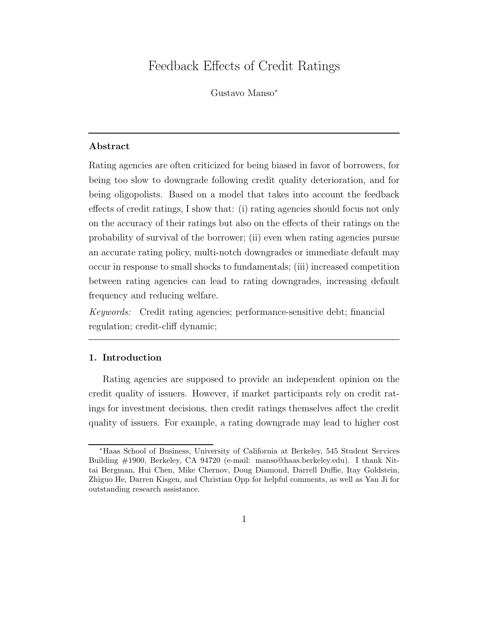# Feedback Effects of Credit Ratings

Gustavo Manso<sup>∗</sup>

# Abstract

Rating agencies are often criticized for being biased in favor of borrowers, for being too slow to downgrade following credit quality deterioration, and for being oligopolists. Based on a model that takes into account the feedback effects of credit ratings, I show that: (i) rating agencies should focus not only on the accuracy of their ratings but also on the effects of their ratings on the probability of survival of the borrower; (ii) even when rating agencies pursue an accurate rating policy, multi-notch downgrades or immediate default may occur in response to small shocks to fundamentals; (iii) increased competition between rating agencies can lead to rating downgrades, increasing default frequency and reducing welfare.

Keywords: Credit rating agencies; performance-sensitive debt; financial regulation; credit-cliff dynamic;

# 1. Introduction

Rating agencies are supposed to provide an independent opinion on the credit quality of issuers. However, if market participants rely on credit ratings for investment decisions, then credit ratings themselves affect the credit quality of issuers. For example, a rating downgrade may lead to higher cost

<sup>∗</sup>Haas School of Business, University of California at Berkeley, 545 Student Services Building #1900, Berkeley, CA 94720 (e-mail: manso@haas.berkeley.edu). I thank Nittai Bergman, Hui Chen, Mike Chernov, Doug Diamond, Darrell Duffie, Itay Goldstein, Zhiguo He, Darren Kisgen, and Christian Opp for helpful comments, as well as Yan Ji for outstanding research assistance.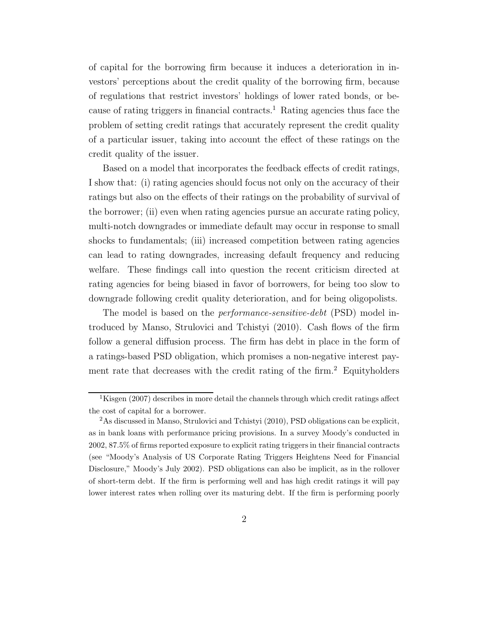of capital for the borrowing firm because it induces a deterioration in investors' perceptions about the credit quality of the borrowing firm, because of regulations that restrict investors' holdings of lower rated bonds, or because of rating triggers in financial contracts.<sup>1</sup> Rating agencies thus face the problem of setting credit ratings that accurately represent the credit quality of a particular issuer, taking into account the effect of these ratings on the credit quality of the issuer.

Based on a model that incorporates the feedback effects of credit ratings, I show that: (i) rating agencies should focus not only on the accuracy of their ratings but also on the effects of their ratings on the probability of survival of the borrower; (ii) even when rating agencies pursue an accurate rating policy, multi-notch downgrades or immediate default may occur in response to small shocks to fundamentals; (iii) increased competition between rating agencies can lead to rating downgrades, increasing default frequency and reducing welfare. These findings call into question the recent criticism directed at rating agencies for being biased in favor of borrowers, for being too slow to downgrade following credit quality deterioration, and for being oligopolists.

The model is based on the *performance-sensitive-debt* (PSD) model introduced by Manso, Strulovici and Tchistyi (2010). Cash flows of the firm follow a general diffusion process. The firm has debt in place in the form of a ratings-based PSD obligation, which promises a non-negative interest payment rate that decreases with the credit rating of the firm.<sup>2</sup> Equityholders

<sup>&</sup>lt;sup>1</sup>Kisgen (2007) describes in more detail the channels through which credit ratings affect the cost of capital for a borrower.

<sup>&</sup>lt;sup>2</sup>As discussed in Manso, Strulovici and Tchistyi (2010), PSD obligations can be explicit, as in bank loans with performance pricing provisions. In a survey Moody's conducted in 2002, 87.5% of firms reported exposure to explicit rating triggers in their financial contracts (see "Moody's Analysis of US Corporate Rating Triggers Heightens Need for Financial Disclosure," Moody's July 2002). PSD obligations can also be implicit, as in the rollover of short-term debt. If the firm is performing well and has high credit ratings it will pay lower interest rates when rolling over its maturing debt. If the firm is performing poorly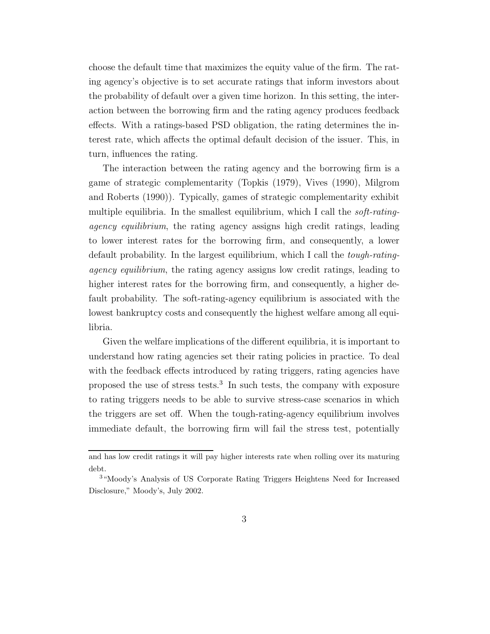choose the default time that maximizes the equity value of the firm. The rating agency's objective is to set accurate ratings that inform investors about the probability of default over a given time horizon. In this setting, the interaction between the borrowing firm and the rating agency produces feedback effects. With a ratings-based PSD obligation, the rating determines the interest rate, which affects the optimal default decision of the issuer. This, in turn, influences the rating.

The interaction between the rating agency and the borrowing firm is a game of strategic complementarity (Topkis (1979), Vives (1990), Milgrom and Roberts (1990)). Typically, games of strategic complementarity exhibit multiple equilibria. In the smallest equilibrium, which I call the *soft-rating*agency equilibrium, the rating agency assigns high credit ratings, leading to lower interest rates for the borrowing firm, and consequently, a lower default probability. In the largest equilibrium, which I call the tough-ratingagency equilibrium, the rating agency assigns low credit ratings, leading to higher interest rates for the borrowing firm, and consequently, a higher default probability. The soft-rating-agency equilibrium is associated with the lowest bankruptcy costs and consequently the highest welfare among all equilibria.

Given the welfare implications of the different equilibria, it is important to understand how rating agencies set their rating policies in practice. To deal with the feedback effects introduced by rating triggers, rating agencies have proposed the use of stress tests.<sup>3</sup> In such tests, the company with exposure to rating triggers needs to be able to survive stress-case scenarios in which the triggers are set off. When the tough-rating-agency equilibrium involves immediate default, the borrowing firm will fail the stress test, potentially

and has low credit ratings it will pay higher interests rate when rolling over its maturing debt.

<sup>3</sup>"Moody's Analysis of US Corporate Rating Triggers Heightens Need for Increased Disclosure," Moody's, July 2002.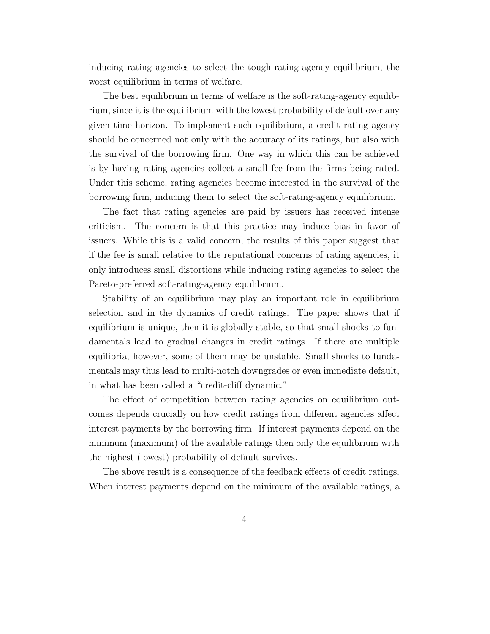inducing rating agencies to select the tough-rating-agency equilibrium, the worst equilibrium in terms of welfare.

The best equilibrium in terms of welfare is the soft-rating-agency equilibrium, since it is the equilibrium with the lowest probability of default over any given time horizon. To implement such equilibrium, a credit rating agency should be concerned not only with the accuracy of its ratings, but also with the survival of the borrowing firm. One way in which this can be achieved is by having rating agencies collect a small fee from the firms being rated. Under this scheme, rating agencies become interested in the survival of the borrowing firm, inducing them to select the soft-rating-agency equilibrium.

The fact that rating agencies are paid by issuers has received intense criticism. The concern is that this practice may induce bias in favor of issuers. While this is a valid concern, the results of this paper suggest that if the fee is small relative to the reputational concerns of rating agencies, it only introduces small distortions while inducing rating agencies to select the Pareto-preferred soft-rating-agency equilibrium.

Stability of an equilibrium may play an important role in equilibrium selection and in the dynamics of credit ratings. The paper shows that if equilibrium is unique, then it is globally stable, so that small shocks to fundamentals lead to gradual changes in credit ratings. If there are multiple equilibria, however, some of them may be unstable. Small shocks to fundamentals may thus lead to multi-notch downgrades or even immediate default, in what has been called a "credit-cliff dynamic."

The effect of competition between rating agencies on equilibrium outcomes depends crucially on how credit ratings from different agencies affect interest payments by the borrowing firm. If interest payments depend on the minimum (maximum) of the available ratings then only the equilibrium with the highest (lowest) probability of default survives.

The above result is a consequence of the feedback effects of credit ratings. When interest payments depend on the minimum of the available ratings, a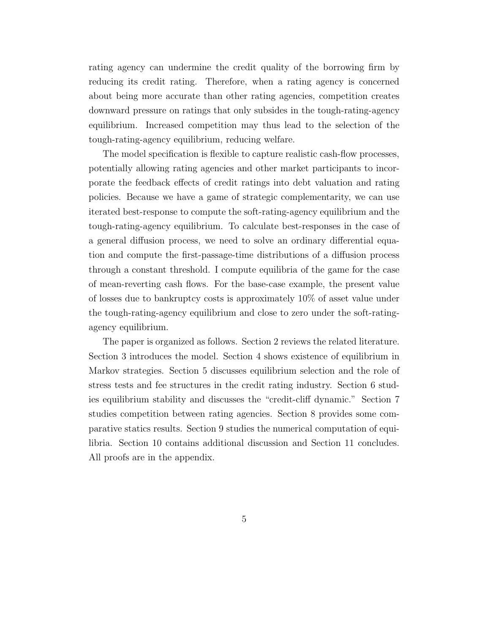rating agency can undermine the credit quality of the borrowing firm by reducing its credit rating. Therefore, when a rating agency is concerned about being more accurate than other rating agencies, competition creates downward pressure on ratings that only subsides in the tough-rating-agency equilibrium. Increased competition may thus lead to the selection of the tough-rating-agency equilibrium, reducing welfare.

The model specification is flexible to capture realistic cash-flow processes, potentially allowing rating agencies and other market participants to incorporate the feedback effects of credit ratings into debt valuation and rating policies. Because we have a game of strategic complementarity, we can use iterated best-response to compute the soft-rating-agency equilibrium and the tough-rating-agency equilibrium. To calculate best-responses in the case of a general diffusion process, we need to solve an ordinary differential equation and compute the first-passage-time distributions of a diffusion process through a constant threshold. I compute equilibria of the game for the case of mean-reverting cash flows. For the base-case example, the present value of losses due to bankruptcy costs is approximately 10% of asset value under the tough-rating-agency equilibrium and close to zero under the soft-ratingagency equilibrium.

The paper is organized as follows. Section 2 reviews the related literature. Section 3 introduces the model. Section 4 shows existence of equilibrium in Markov strategies. Section 5 discusses equilibrium selection and the role of stress tests and fee structures in the credit rating industry. Section 6 studies equilibrium stability and discusses the "credit-cliff dynamic." Section 7 studies competition between rating agencies. Section 8 provides some comparative statics results. Section 9 studies the numerical computation of equilibria. Section 10 contains additional discussion and Section 11 concludes. All proofs are in the appendix.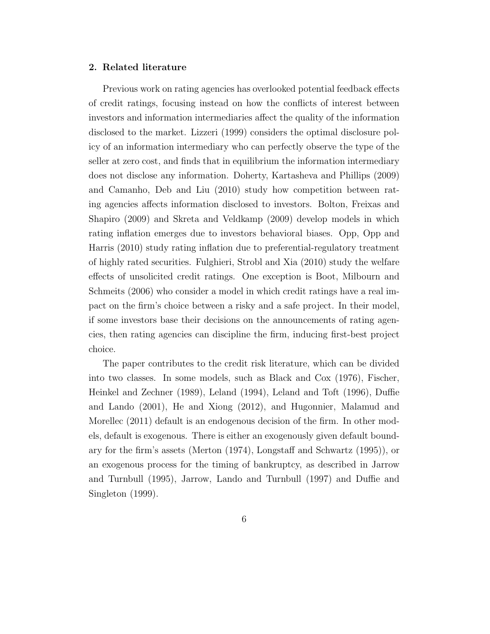# 2. Related literature

Previous work on rating agencies has overlooked potential feedback effects of credit ratings, focusing instead on how the conflicts of interest between investors and information intermediaries affect the quality of the information disclosed to the market. Lizzeri (1999) considers the optimal disclosure policy of an information intermediary who can perfectly observe the type of the seller at zero cost, and finds that in equilibrium the information intermediary does not disclose any information. Doherty, Kartasheva and Phillips (2009) and Camanho, Deb and Liu (2010) study how competition between rating agencies affects information disclosed to investors. Bolton, Freixas and Shapiro (2009) and Skreta and Veldkamp (2009) develop models in which rating inflation emerges due to investors behavioral biases. Opp, Opp and Harris (2010) study rating inflation due to preferential-regulatory treatment of highly rated securities. Fulghieri, Strobl and Xia (2010) study the welfare effects of unsolicited credit ratings. One exception is Boot, Milbourn and Schmeits (2006) who consider a model in which credit ratings have a real impact on the firm's choice between a risky and a safe project. In their model, if some investors base their decisions on the announcements of rating agencies, then rating agencies can discipline the firm, inducing first-best project choice.

The paper contributes to the credit risk literature, which can be divided into two classes. In some models, such as Black and Cox (1976), Fischer, Heinkel and Zechner (1989), Leland (1994), Leland and Toft (1996), Duffie and Lando (2001), He and Xiong (2012), and Hugonnier, Malamud and Morellec (2011) default is an endogenous decision of the firm. In other models, default is exogenous. There is either an exogenously given default boundary for the firm's assets (Merton (1974), Longstaff and Schwartz (1995)), or an exogenous process for the timing of bankruptcy, as described in Jarrow and Turnbull (1995), Jarrow, Lando and Turnbull (1997) and Duffie and Singleton (1999).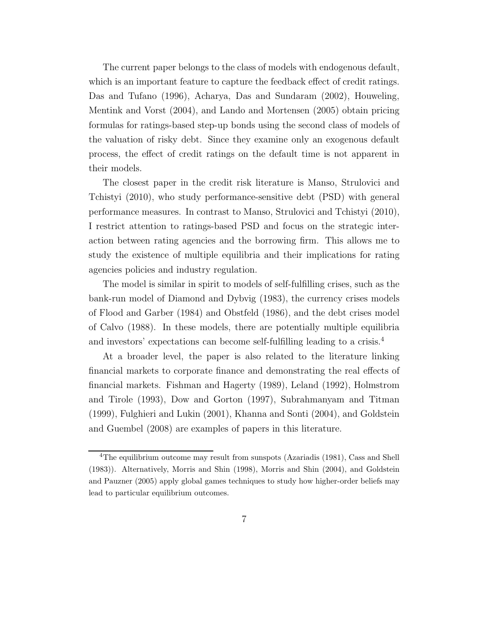The current paper belongs to the class of models with endogenous default, which is an important feature to capture the feedback effect of credit ratings. Das and Tufano (1996), Acharya, Das and Sundaram (2002), Houweling, Mentink and Vorst (2004), and Lando and Mortensen (2005) obtain pricing formulas for ratings-based step-up bonds using the second class of models of the valuation of risky debt. Since they examine only an exogenous default process, the effect of credit ratings on the default time is not apparent in their models.

The closest paper in the credit risk literature is Manso, Strulovici and Tchistyi (2010), who study performance-sensitive debt (PSD) with general performance measures. In contrast to Manso, Strulovici and Tchistyi (2010), I restrict attention to ratings-based PSD and focus on the strategic interaction between rating agencies and the borrowing firm. This allows me to study the existence of multiple equilibria and their implications for rating agencies policies and industry regulation.

The model is similar in spirit to models of self-fulfilling crises, such as the bank-run model of Diamond and Dybvig (1983), the currency crises models of Flood and Garber (1984) and Obstfeld (1986), and the debt crises model of Calvo (1988). In these models, there are potentially multiple equilibria and investors' expectations can become self-fulfilling leading to a crisis.<sup>4</sup>

At a broader level, the paper is also related to the literature linking financial markets to corporate finance and demonstrating the real effects of financial markets. Fishman and Hagerty (1989), Leland (1992), Holmstrom and Tirole (1993), Dow and Gorton (1997), Subrahmanyam and Titman (1999), Fulghieri and Lukin (2001), Khanna and Sonti (2004), and Goldstein and Guembel (2008) are examples of papers in this literature.

<sup>&</sup>lt;sup>4</sup>The equilibrium outcome may result from sunspots (Azariadis (1981), Cass and Shell (1983)). Alternatively, Morris and Shin (1998), Morris and Shin (2004), and Goldstein and Pauzner (2005) apply global games techniques to study how higher-order beliefs may lead to particular equilibrium outcomes.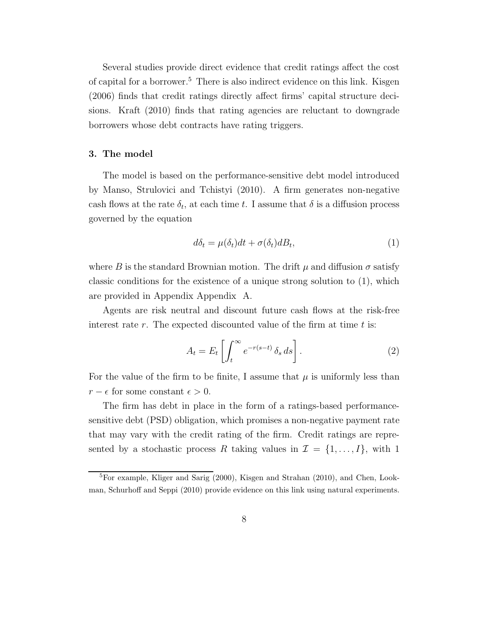Several studies provide direct evidence that credit ratings affect the cost of capital for a borrower.<sup>5</sup> There is also indirect evidence on this link. Kisgen (2006) finds that credit ratings directly affect firms' capital structure decisions. Kraft (2010) finds that rating agencies are reluctant to downgrade borrowers whose debt contracts have rating triggers.

### 3. The model

The model is based on the performance-sensitive debt model introduced by Manso, Strulovici and Tchistyi (2010). A firm generates non-negative cash flows at the rate  $\delta_t$ , at each time t. I assume that  $\delta$  is a diffusion process governed by the equation

$$
d\delta_t = \mu(\delta_t)dt + \sigma(\delta_t)dB_t,
$$
\n(1)

where B is the standard Brownian motion. The drift  $\mu$  and diffusion  $\sigma$  satisfy classic conditions for the existence of a unique strong solution to (1), which are provided in Appendix Appendix A.

Agents are risk neutral and discount future cash flows at the risk-free interest rate  $r$ . The expected discounted value of the firm at time  $t$  is:

$$
A_t = E_t \left[ \int_t^{\infty} e^{-r(s-t)} \, \delta_s \, ds \right]. \tag{2}
$$

For the value of the firm to be finite, I assume that  $\mu$  is uniformly less than  $r - \epsilon$  for some constant  $\epsilon > 0$ .

The firm has debt in place in the form of a ratings-based performancesensitive debt (PSD) obligation, which promises a non-negative payment rate that may vary with the credit rating of the firm. Credit ratings are represented by a stochastic process R taking values in  $\mathcal{I} = \{1, \ldots, I\}$ , with 1

<sup>5</sup>For example, Kliger and Sarig (2000), Kisgen and Strahan (2010), and Chen, Lookman, Schurhoff and Seppi (2010) provide evidence on this link using natural experiments.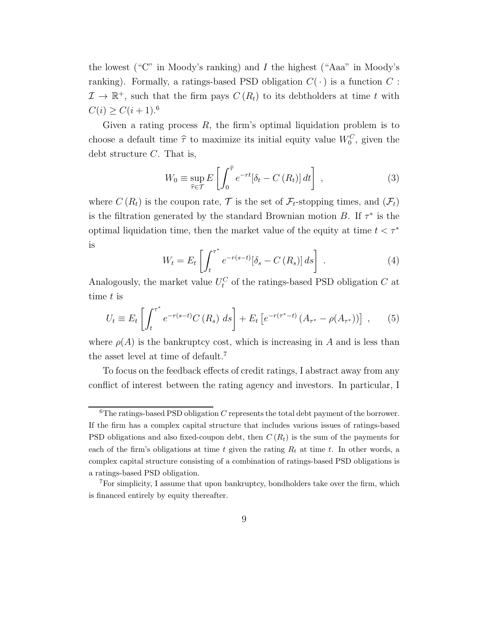the lowest ("C" in Moody's ranking) and I the highest ("Aaa" in Moody's ranking). Formally, a ratings-based PSD obligation  $C(\cdot)$  is a function  $C$ :  $\mathcal{I} \to \mathbb{R}^+$ , such that the firm pays  $C(R_t)$  to its debtholders at time t with  $C(i) \geq C(i+1).^{6}$ 

Given a rating process  $R$ , the firm's optimal liquidation problem is to choose a default time  $\hat{\tau}$  to maximize its initial equity value  $W_0^C$ , given the debt structure  $C$ . That is,

$$
W_0 \equiv \sup_{\hat{\tau} \in \mathcal{T}} E\left[\int_0^{\hat{\tau}} e^{-rt} [\delta_t - C(R_t)] dt\right],
$$
\n(3)

where  $C(R_t)$  is the coupon rate,  $\mathcal T$  is the set of  $\mathcal F_t$ -stopping times, and  $(\mathcal F_t)$ is the filtration generated by the standard Brownian motion  $B$ . If  $\tau^*$  is the optimal liquidation time, then the market value of the equity at time  $t < \tau^*$ is ∗

$$
W_t = E_t \left[ \int_t^{\tau^*} e^{-r(s-t)} [\delta_s - C(R_s)] ds \right] \,. \tag{4}
$$

Analogously, the market value  $U_t^C$  of the ratings-based PSD obligation  $C$  at time t is

$$
U_t \equiv E_t \left[ \int_t^{\tau^*} e^{-r(s-t)} C(R_s) \, ds \right] + E_t \left[ e^{-r(\tau^* - t)} \left( A_{\tau^*} - \rho(A_{\tau^*}) \right) \right] \,, \tag{5}
$$

where  $\rho(A)$  is the bankruptcy cost, which is increasing in A and is less than the asset level at time of default.<sup>7</sup>

To focus on the feedback effects of credit ratings, I abstract away from any conflict of interest between the rating agency and investors. In particular, I

 ${}^{6}$ The ratings-based PSD obligation C represents the total debt payment of the borrower. If the firm has a complex capital structure that includes various issues of ratings-based PSD obligations and also fixed-coupon debt, then  $C(R_t)$  is the sum of the payments for each of the firm's obligations at time t given the rating  $R_t$  at time t. In other words, a complex capital structure consisting of a combination of ratings-based PSD obligations is a ratings-based PSD obligation.

<sup>7</sup>For simplicity, I assume that upon bankruptcy, bondholders take over the firm, which is financed entirely by equity thereafter.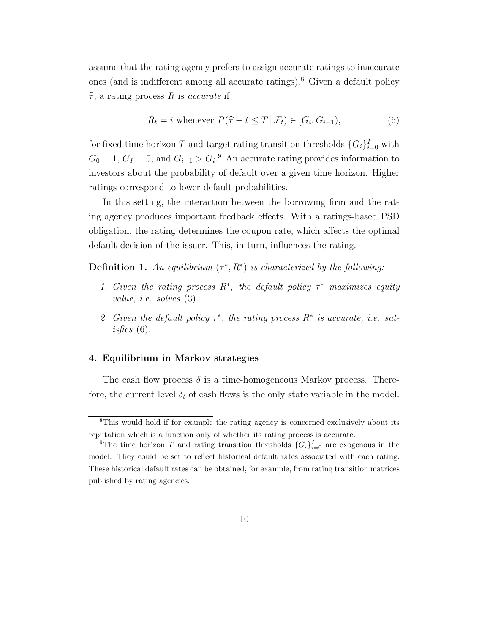assume that the rating agency prefers to assign accurate ratings to inaccurate ones (and is indifferent among all accurate ratings).<sup>8</sup> Given a default policy  $\hat{\tau}$ , a rating process R is accurate if

$$
R_t = i \text{ whenever } P(\hat{\tau} - t \le T \mid \mathcal{F}_t) \in [G_i, G_{i-1}), \tag{6}
$$

for fixed time horizon T and target rating transition thresholds  $\{G_i\}_{i=0}^I$  with  $G_0 = 1, G_I = 0$ , and  $G_{i-1} > G_i$ <sup>9</sup> An accurate rating provides information to investors about the probability of default over a given time horizon. Higher ratings correspond to lower default probabilities.

In this setting, the interaction between the borrowing firm and the rating agency produces important feedback effects. With a ratings-based PSD obligation, the rating determines the coupon rate, which affects the optimal default decision of the issuer. This, in turn, influences the rating.

**Definition 1.** An equilibrium  $(\tau^*, R^*)$  is characterized by the following:

- 1. Given the rating process  $R^*$ , the default policy  $\tau^*$  maximizes equity value, i.e. solves (3).
- 2. Given the default policy  $\tau^*$ , the rating process  $R^*$  is accurate, i.e. satisfies  $(6)$ .

# 4. Equilibrium in Markov strategies

The cash flow process  $\delta$  is a time-homogeneous Markov process. Therefore, the current level  $\delta_t$  of cash flows is the only state variable in the model.

<sup>&</sup>lt;sup>8</sup>This would hold if for example the rating agency is concerned exclusively about its reputation which is a function only of whether its rating process is accurate.

<sup>&</sup>lt;sup>9</sup>The time horizon T and rating transition thresholds  $\{G_i\}_{i=0}^I$  are exogenous in the model. They could be set to reflect historical default rates associated with each rating. These historical default rates can be obtained, for example, from rating transition matrices published by rating agencies.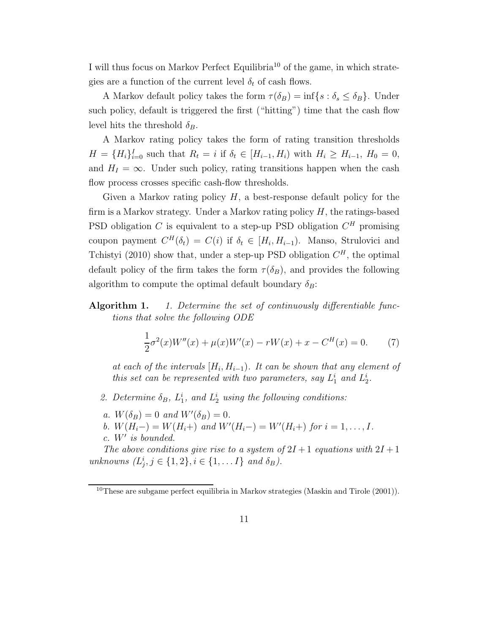I will thus focus on Markov Perfect Equilibria<sup>10</sup> of the game, in which strategies are a function of the current level  $\delta_t$  of cash flows.

A Markov default policy takes the form  $\tau(\delta_B) = \inf\{s : \delta_s \leq \delta_B\}$ . Under such policy, default is triggered the first ("hitting") time that the cash flow level hits the threshold  $\delta_B$ .

A Markov rating policy takes the form of rating transition thresholds  $H = \{H_i\}_{i=0}^I$  such that  $R_t = i$  if  $\delta_t \in [H_{i-1}, H_i)$  with  $H_i \ge H_{i-1}, H_0 = 0$ , and  $H_I = \infty$ . Under such policy, rating transitions happen when the cash flow process crosses specific cash-flow thresholds.

Given a Markov rating policy  $H$ , a best-response default policy for the firm is a Markov strategy. Under a Markov rating policy  $H$ , the ratings-based PSD obligation C is equivalent to a step-up PSD obligation  $C<sup>H</sup>$  promising coupon payment  $C^H(\delta_t) = C(i)$  if  $\delta_t \in [H_i, H_{i-1})$ . Manso, Strulovici and Tchistyi (2010) show that, under a step-up PSD obligation  $C<sup>H</sup>$ , the optimal default policy of the firm takes the form  $\tau(\delta_B)$ , and provides the following algorithm to compute the optimal default boundary  $\delta_B$ :

Algorithm 1. 1. Determine the set of continuously differentiable functions that solve the following ODE

$$
\frac{1}{2}\sigma^{2}(x)W''(x) + \mu(x)W'(x) - rW(x) + x - C^{H}(x) = 0.
$$
 (7)

at each of the intervals  $[H_i, H_{i-1})$ . It can be shown that any element of this set can be represented with two parameters, say  $L_1^i$  and  $L_2^i$ .

- 2. Determine  $\delta_B$ ,  $L_1^i$ , and  $L_2^i$  using the following conditions:
- a.  $W(\delta_B) = 0$  and  $W'(\delta_B) = 0$ .
- b.  $W(H_i-) = W(H_i+)$  and  $W'(H_i-) = W'(H_i+)$  for  $i = 1, ..., I$ .
- c. W′ is bounded.

The above conditions give rise to a system of  $2I + 1$  equations with  $2I + 1$ unknowns  $(L_j^i, j \in \{1, 2\}, i \in \{1, \dots I\}$  and  $\delta_B$ ).

 $10$ These are subgame perfect equilibria in Markov strategies (Maskin and Tirole (2001)).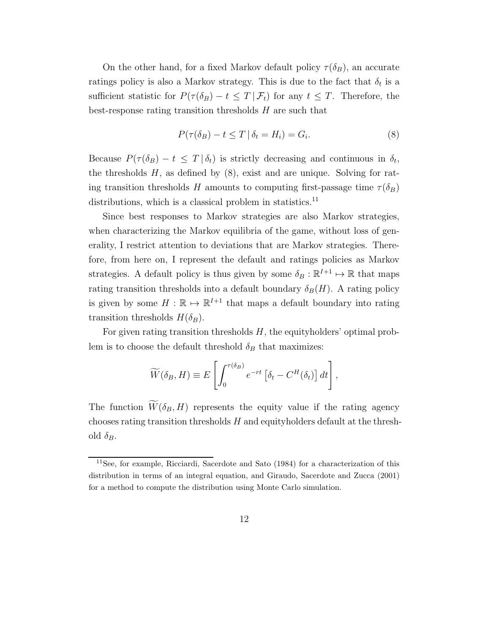On the other hand, for a fixed Markov default policy  $\tau(\delta_B)$ , an accurate ratings policy is also a Markov strategy. This is due to the fact that  $\delta_t$  is a sufficient statistic for  $P(\tau(\delta_B) - t \leq T | \mathcal{F}_t)$  for any  $t \leq T$ . Therefore, the best-response rating transition thresholds  $H$  are such that

$$
P(\tau(\delta_B) - t \le T \mid \delta_t = H_i) = G_i.
$$
\n<sup>(8)</sup>

Because  $P(\tau(\delta_B) - t \leq T | \delta_t)$  is strictly decreasing and continuous in  $\delta_t$ , the thresholds  $H$ , as defined by  $(8)$ , exist and are unique. Solving for rating transition thresholds H amounts to computing first-passage time  $\tau(\delta_B)$ distributions, which is a classical problem in statistics.<sup>11</sup>

Since best responses to Markov strategies are also Markov strategies, when characterizing the Markov equilibria of the game, without loss of generality, I restrict attention to deviations that are Markov strategies. Therefore, from here on, I represent the default and ratings policies as Markov strategies. A default policy is thus given by some  $\delta_B : \mathbb{R}^{I+1} \mapsto \mathbb{R}$  that maps rating transition thresholds into a default boundary  $\delta_B(H)$ . A rating policy is given by some  $H : \mathbb{R} \mapsto \mathbb{R}^{I+1}$  that maps a default boundary into rating transition thresholds  $H(\delta_B)$ .

For given rating transition thresholds  $H$ , the equityholders' optimal problem is to choose the default threshold  $\delta_B$  that maximizes:

$$
\widetilde{W}(\delta_B, H) \equiv E \left[ \int_0^{\tau(\delta_B)} e^{-rt} \left[ \delta_t - C^H(\delta_t) \right] dt \right],
$$

The function  $\widetilde{W}(\delta_B, H)$  represents the equity value if the rating agency chooses rating transition thresholds  $H$  and equityholders default at the threshold  $\delta_B$ .

<sup>11</sup>See, for example, Ricciardi, Sacerdote and Sato (1984) for a characterization of this distribution in terms of an integral equation, and Giraudo, Sacerdote and Zucca (2001) for a method to compute the distribution using Monte Carlo simulation.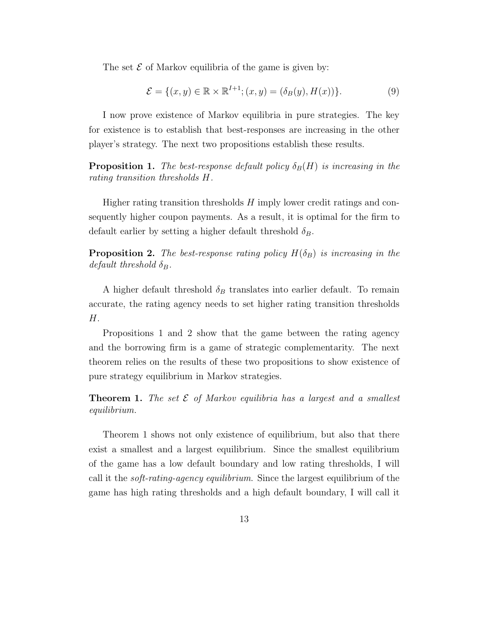The set  $\mathcal E$  of Markov equilibria of the game is given by:

$$
\mathcal{E} = \{(x, y) \in \mathbb{R} \times \mathbb{R}^{I+1}; (x, y) = (\delta_B(y), H(x))\}.
$$
 (9)

I now prove existence of Markov equilibria in pure strategies. The key for existence is to establish that best-responses are increasing in the other player's strategy. The next two propositions establish these results.

**Proposition 1.** The best-response default policy  $\delta_B(H)$  is increasing in the rating transition thresholds H.

Higher rating transition thresholds  $H$  imply lower credit ratings and consequently higher coupon payments. As a result, it is optimal for the firm to default earlier by setting a higher default threshold  $\delta_B$ .

**Proposition 2.** The best-response rating policy  $H(\delta_B)$  is increasing in the default threshold  $\delta_B$ .

A higher default threshold  $\delta_B$  translates into earlier default. To remain accurate, the rating agency needs to set higher rating transition thresholds H.

Propositions 1 and 2 show that the game between the rating agency and the borrowing firm is a game of strategic complementarity. The next theorem relies on the results of these two propositions to show existence of pure strategy equilibrium in Markov strategies.

**Theorem 1.** The set  $\mathcal E$  of Markov equilibria has a largest and a smallest equilibrium.

Theorem 1 shows not only existence of equilibrium, but also that there exist a smallest and a largest equilibrium. Since the smallest equilibrium of the game has a low default boundary and low rating thresholds, I will call it the soft-rating-agency equilibrium. Since the largest equilibrium of the game has high rating thresholds and a high default boundary, I will call it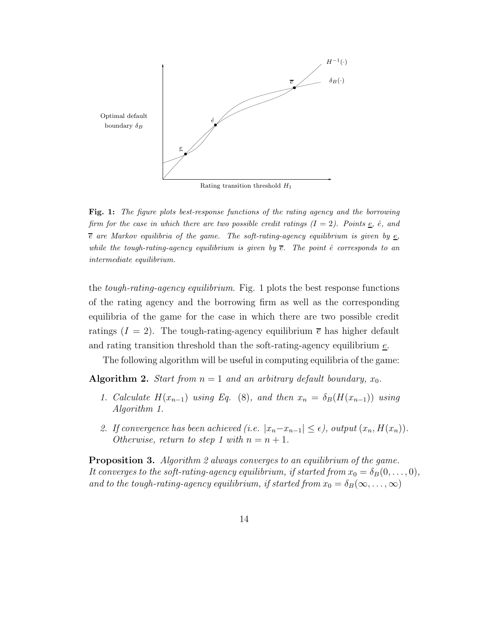

Rating transition threshold  $H_1$ 

Fig. 1: The figure plots best-response functions of the rating agency and the borrowing firm for the case in which there are two possible credit ratings  $(I = 2)$ . Points  $\underline{e}$ ,  $\hat{e}$ , and  $\overline{e}$  are Markov equilibria of the game. The soft-rating-agency equilibrium is given by  $\overline{e}$ , while the tough-rating-agency equilibrium is given by  $\overline{e}$ . The point  $\hat{e}$  corresponds to an intermediate equilibrium.

the tough-rating-agency equilibrium. Fig. 1 plots the best response functions of the rating agency and the borrowing firm as well as the corresponding equilibria of the game for the case in which there are two possible credit ratings  $(I = 2)$ . The tough-rating-agency equilibrium  $\bar{e}$  has higher default and rating transition threshold than the soft-rating-agency equilibrium  $\epsilon$ .

The following algorithm will be useful in computing equilibria of the game:

**Algorithm 2.** Start from  $n = 1$  and an arbitrary default boundary,  $x_0$ .

- 1. Calculate  $H(x_{n-1})$  using Eq. (8), and then  $x_n = \delta_B(H(x_{n-1}))$  using Algorithm 1.
- 2. If convergence has been achieved (i.e.  $|x_n-x_{n-1}| \leq \epsilon$ ), output  $(x_n, H(x_n))$ . Otherwise, return to step 1 with  $n = n + 1$ .

**Proposition 3.** Algorithm 2 always converges to an equilibrium of the game. It converges to the soft-rating-agency equilibrium, if started from  $x_0 = \delta_B(0, \ldots, 0)$ , and to the tough-rating-agency equilibrium, if started from  $x_0 = \delta_B(\infty, \ldots, \infty)$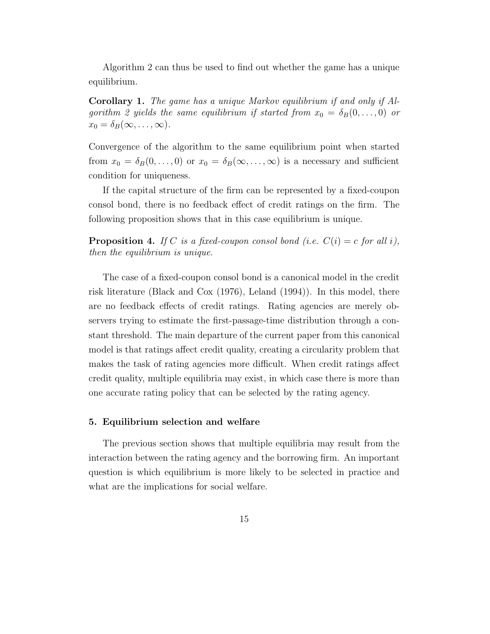Algorithm 2 can thus be used to find out whether the game has a unique equilibrium.

Corollary 1. The game has a unique Markov equilibrium if and only if Algorithm 2 yields the same equilibrium if started from  $x_0 = \delta_B(0, \ldots, 0)$  or  $x_0 = \delta_B(\infty, \ldots, \infty).$ 

Convergence of the algorithm to the same equilibrium point when started from  $x_0 = \delta_B(0, \ldots, 0)$  or  $x_0 = \delta_B(\infty, \ldots, \infty)$  is a necessary and sufficient condition for uniqueness.

If the capital structure of the firm can be represented by a fixed-coupon consol bond, there is no feedback effect of credit ratings on the firm. The following proposition shows that in this case equilibrium is unique.

**Proposition 4.** If C is a fixed-coupon consol bond (i.e.  $C(i) = c$  for all i), then the equilibrium is unique.

The case of a fixed-coupon consol bond is a canonical model in the credit risk literature (Black and Cox (1976), Leland (1994)). In this model, there are no feedback effects of credit ratings. Rating agencies are merely observers trying to estimate the first-passage-time distribution through a constant threshold. The main departure of the current paper from this canonical model is that ratings affect credit quality, creating a circularity problem that makes the task of rating agencies more difficult. When credit ratings affect credit quality, multiple equilibria may exist, in which case there is more than one accurate rating policy that can be selected by the rating agency.

# 5. Equilibrium selection and welfare

The previous section shows that multiple equilibria may result from the interaction between the rating agency and the borrowing firm. An important question is which equilibrium is more likely to be selected in practice and what are the implications for social welfare.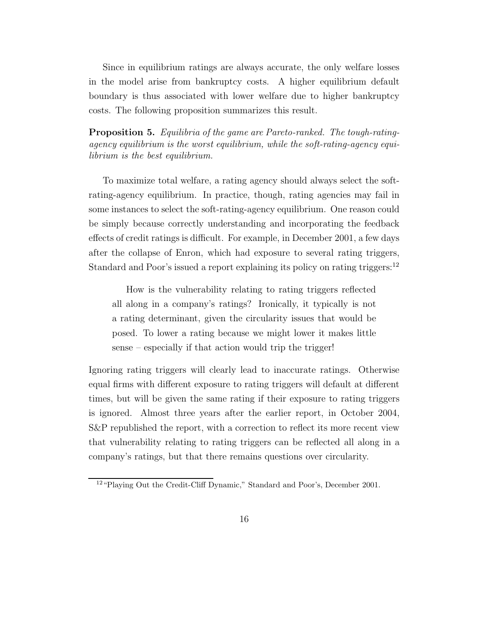Since in equilibrium ratings are always accurate, the only welfare losses in the model arise from bankruptcy costs. A higher equilibrium default boundary is thus associated with lower welfare due to higher bankruptcy costs. The following proposition summarizes this result.

Proposition 5. Equilibria of the game are Pareto-ranked. The tough-ratingagency equilibrium is the worst equilibrium, while the soft-rating-agency equilibrium is the best equilibrium.

To maximize total welfare, a rating agency should always select the softrating-agency equilibrium. In practice, though, rating agencies may fail in some instances to select the soft-rating-agency equilibrium. One reason could be simply because correctly understanding and incorporating the feedback effects of credit ratings is difficult. For example, in December 2001, a few days after the collapse of Enron, which had exposure to several rating triggers, Standard and Poor's issued a report explaining its policy on rating triggers:<sup>12</sup>

How is the vulnerability relating to rating triggers reflected all along in a company's ratings? Ironically, it typically is not a rating determinant, given the circularity issues that would be posed. To lower a rating because we might lower it makes little sense – especially if that action would trip the trigger!

Ignoring rating triggers will clearly lead to inaccurate ratings. Otherwise equal firms with different exposure to rating triggers will default at different times, but will be given the same rating if their exposure to rating triggers is ignored. Almost three years after the earlier report, in October 2004, S&P republished the report, with a correction to reflect its more recent view that vulnerability relating to rating triggers can be reflected all along in a company's ratings, but that there remains questions over circularity.

<sup>12</sup>"Playing Out the Credit-Cliff Dynamic," Standard and Poor's, December 2001.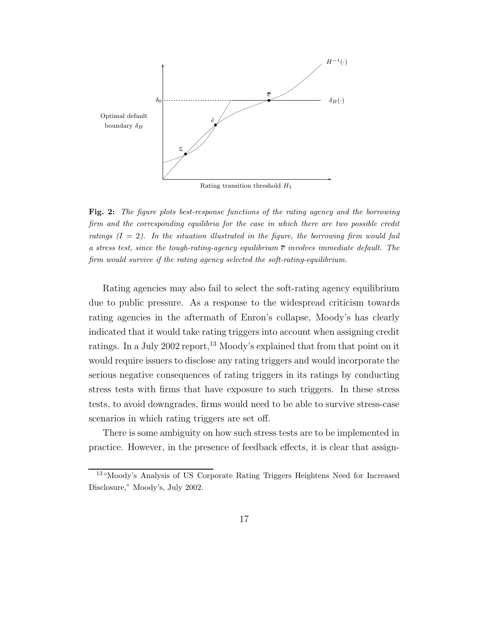

Rating transition threshold  $H_1$ 

Fig. 2: The figure plots best-response functions of the rating agency and the borrowing firm and the corresponding equilibria for the case in which there are two possible credit ratings  $(I = 2)$ . In the situation illustrated in the figure, the borrowing firm would fail a stress test, since the tough-rating-agency equilibrium  $\bar{e}$  involves immediate default. The firm would survive if the rating agency selected the soft-rating-equilibrium.

Rating agencies may also fail to select the soft-rating agency equilibrium due to public pressure. As a response to the widespread criticism towards rating agencies in the aftermath of Enron's collapse, Moody's has clearly indicated that it would take rating triggers into account when assigning credit ratings. In a July 2002 report,<sup>13</sup> Moody's explained that from that point on it would require issuers to disclose any rating triggers and would incorporate the serious negative consequences of rating triggers in its ratings by conducting stress tests with firms that have exposure to such triggers. In these stress tests, to avoid downgrades, firms would need to be able to survive stress-case scenarios in which rating triggers are set off.

There is some ambiguity on how such stress tests are to be implemented in practice. However, in the presence of feedback effects, it is clear that assign-

<sup>13</sup>"Moody's Analysis of US Corporate Rating Triggers Heightens Need for Increased Disclosure," Moody's, July 2002.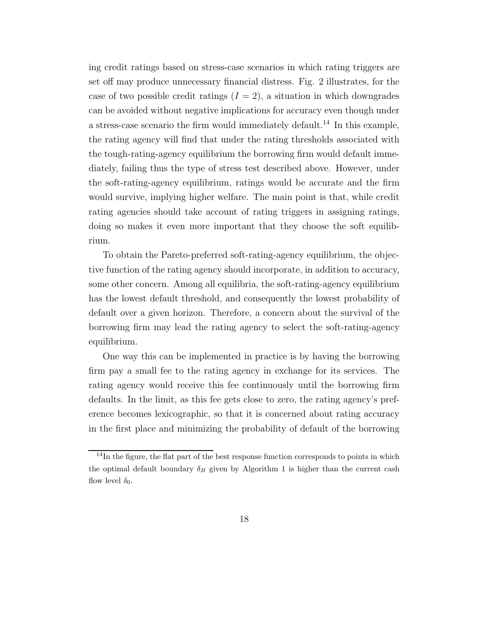ing credit ratings based on stress-case scenarios in which rating triggers are set off may produce unnecessary financial distress. Fig. 2 illustrates, for the case of two possible credit ratings  $(I = 2)$ , a situation in which downgrades can be avoided without negative implications for accuracy even though under a stress-case scenario the firm would immediately default.<sup>14</sup> In this example, the rating agency will find that under the rating thresholds associated with the tough-rating-agency equilibrium the borrowing firm would default immediately, failing thus the type of stress test described above. However, under the soft-rating-agency equilibrium, ratings would be accurate and the firm would survive, implying higher welfare. The main point is that, while credit rating agencies should take account of rating triggers in assigning ratings, doing so makes it even more important that they choose the soft equilibrium.

To obtain the Pareto-preferred soft-rating-agency equilibrium, the objective function of the rating agency should incorporate, in addition to accuracy, some other concern. Among all equilibria, the soft-rating-agency equilibrium has the lowest default threshold, and consequently the lowest probability of default over a given horizon. Therefore, a concern about the survival of the borrowing firm may lead the rating agency to select the soft-rating-agency equilibrium.

One way this can be implemented in practice is by having the borrowing firm pay a small fee to the rating agency in exchange for its services. The rating agency would receive this fee continuously until the borrowing firm defaults. In the limit, as this fee gets close to zero, the rating agency's preference becomes lexicographic, so that it is concerned about rating accuracy in the first place and minimizing the probability of default of the borrowing

<sup>&</sup>lt;sup>14</sup>In the figure, the flat part of the best response function corresponds to points in which the optimal default boundary  $\delta_B$  given by Algorithm 1 is higher than the current cash flow level  $\delta_0$ .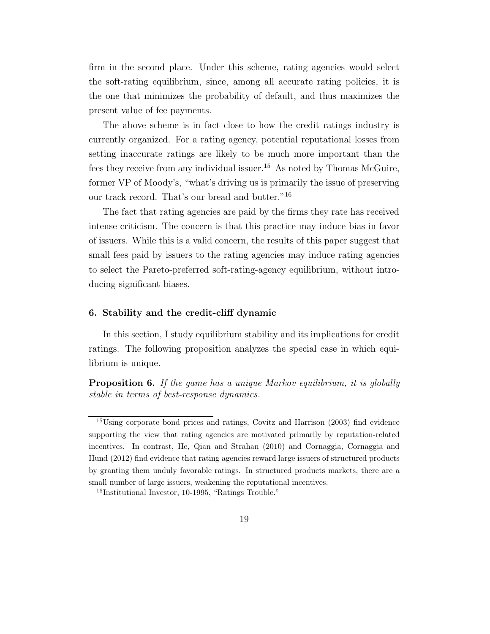firm in the second place. Under this scheme, rating agencies would select the soft-rating equilibrium, since, among all accurate rating policies, it is the one that minimizes the probability of default, and thus maximizes the present value of fee payments.

The above scheme is in fact close to how the credit ratings industry is currently organized. For a rating agency, potential reputational losses from setting inaccurate ratings are likely to be much more important than the fees they receive from any individual issuer.<sup>15</sup> As noted by Thomas McGuire, former VP of Moody's, "what's driving us is primarily the issue of preserving our track record. That's our bread and butter."<sup>16</sup>

The fact that rating agencies are paid by the firms they rate has received intense criticism. The concern is that this practice may induce bias in favor of issuers. While this is a valid concern, the results of this paper suggest that small fees paid by issuers to the rating agencies may induce rating agencies to select the Pareto-preferred soft-rating-agency equilibrium, without introducing significant biases.

# 6. Stability and the credit-cliff dynamic

In this section, I study equilibrium stability and its implications for credit ratings. The following proposition analyzes the special case in which equilibrium is unique.

Proposition 6. If the game has a unique Markov equilibrium, it is globally stable in terms of best-response dynamics.

<sup>15</sup>Using corporate bond prices and ratings, Covitz and Harrison (2003) find evidence supporting the view that rating agencies are motivated primarily by reputation-related incentives. In contrast, He, Qian and Strahan (2010) and Cornaggia, Cornaggia and Hund (2012) find evidence that rating agencies reward large issuers of structured products by granting them unduly favorable ratings. In structured products markets, there are a small number of large issuers, weakening the reputational incentives.

<sup>&</sup>lt;sup>16</sup>Institutional Investor, 10-1995, "Ratings Trouble."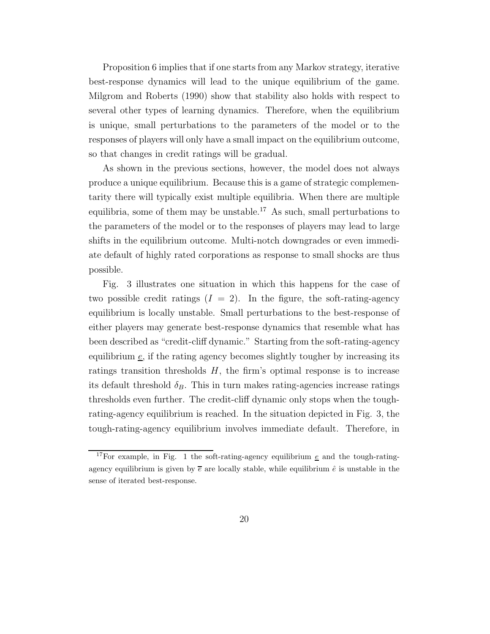Proposition 6 implies that if one starts from any Markov strategy, iterative best-response dynamics will lead to the unique equilibrium of the game. Milgrom and Roberts (1990) show that stability also holds with respect to several other types of learning dynamics. Therefore, when the equilibrium is unique, small perturbations to the parameters of the model or to the responses of players will only have a small impact on the equilibrium outcome, so that changes in credit ratings will be gradual.

As shown in the previous sections, however, the model does not always produce a unique equilibrium. Because this is a game of strategic complementarity there will typically exist multiple equilibria. When there are multiple equilibria, some of them may be unstable.<sup>17</sup> As such, small perturbations to the parameters of the model or to the responses of players may lead to large shifts in the equilibrium outcome. Multi-notch downgrades or even immediate default of highly rated corporations as response to small shocks are thus possible.

Fig. 3 illustrates one situation in which this happens for the case of two possible credit ratings  $(I = 2)$ . In the figure, the soft-rating-agency equilibrium is locally unstable. Small perturbations to the best-response of either players may generate best-response dynamics that resemble what has been described as "credit-cliff dynamic." Starting from the soft-rating-agency equilibrium  $\epsilon$ , if the rating agency becomes slightly tougher by increasing its ratings transition thresholds  $H$ , the firm's optimal response is to increase its default threshold  $\delta_B$ . This in turn makes rating-agencies increase ratings thresholds even further. The credit-cliff dynamic only stops when the toughrating-agency equilibrium is reached. In the situation depicted in Fig. 3, the tough-rating-agency equilibrium involves immediate default. Therefore, in

<sup>&</sup>lt;sup>17</sup>For example, in Fig. 1 the soft-rating-agency equilibrium  $\epsilon$  and the tough-ratingagency equilibrium is given by  $\bar{e}$  are locally stable, while equilibrium  $\hat{e}$  is unstable in the sense of iterated best-response.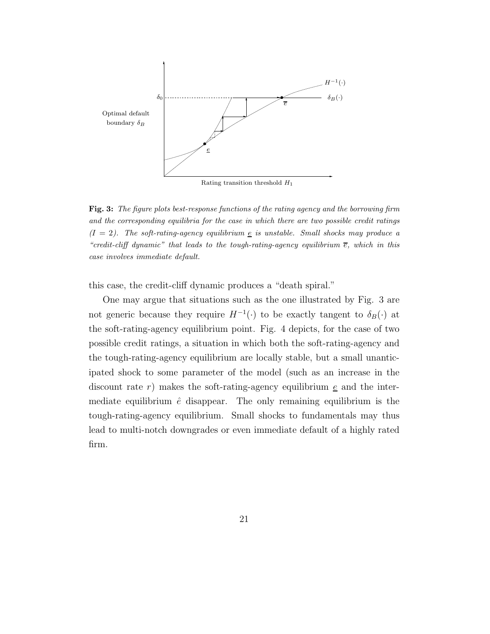

Fig. 3: The figure plots best-response functions of the rating agency and the borrowing firm and the corresponding equilibria for the case in which there are two possible credit ratings  $(I = 2)$ . The soft-rating-agency equilibrium  $\epsilon$  is unstable. Small shocks may produce a "credit-cliff dynamic" that leads to the tough-rating-agency equilibrium  $\bar{e}$ , which in this case involves immediate default.

this case, the credit-cliff dynamic produces a "death spiral."

One may argue that situations such as the one illustrated by Fig. 3 are not generic because they require  $H^{-1}(\cdot)$  to be exactly tangent to  $\delta_B(\cdot)$  at the soft-rating-agency equilibrium point. Fig. 4 depicts, for the case of two possible credit ratings, a situation in which both the soft-rating-agency and the tough-rating-agency equilibrium are locally stable, but a small unanticipated shock to some parameter of the model (such as an increase in the discount rate r) makes the soft-rating-agency equilibrium  $\epsilon$  and the intermediate equilibrium  $\hat{e}$  disappear. The only remaining equilibrium is the tough-rating-agency equilibrium. Small shocks to fundamentals may thus lead to multi-notch downgrades or even immediate default of a highly rated firm.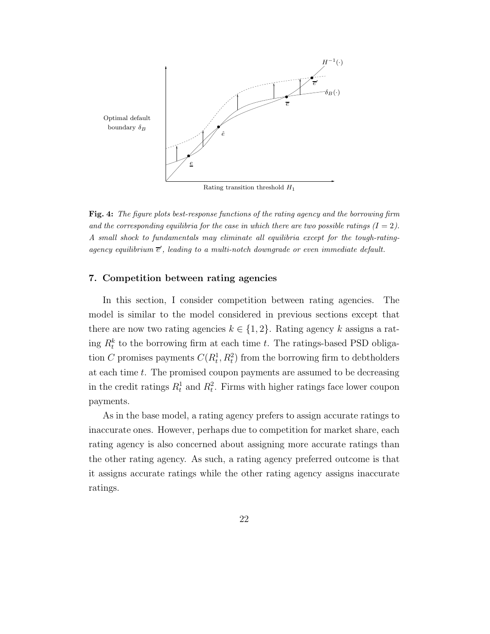

Rating transition threshold  $H_1$ 

Fig. 4: The figure plots best-response functions of the rating agency and the borrowing firm and the corresponding equilibria for the case in which there are two possible ratings  $(I = 2)$ . A small shock to fundamentals may eliminate all equilibria except for the tough-ratingagency equilibrium  $\bar{e}'$ , leading to a multi-notch downgrade or even immediate default.

#### 7. Competition between rating agencies

In this section, I consider competition between rating agencies. The model is similar to the model considered in previous sections except that there are now two rating agencies  $k \in \{1, 2\}$ . Rating agency k assigns a rating  $R_t^k$  to the borrowing firm at each time t. The ratings-based PSD obligation C promises payments  $C(R_t^1, R_t^2)$  from the borrowing firm to debtholders at each time t. The promised coupon payments are assumed to be decreasing in the credit ratings  $R_t^1$  and  $R_t^2$ . Firms with higher ratings face lower coupon payments.

As in the base model, a rating agency prefers to assign accurate ratings to inaccurate ones. However, perhaps due to competition for market share, each rating agency is also concerned about assigning more accurate ratings than the other rating agency. As such, a rating agency preferred outcome is that it assigns accurate ratings while the other rating agency assigns inaccurate ratings.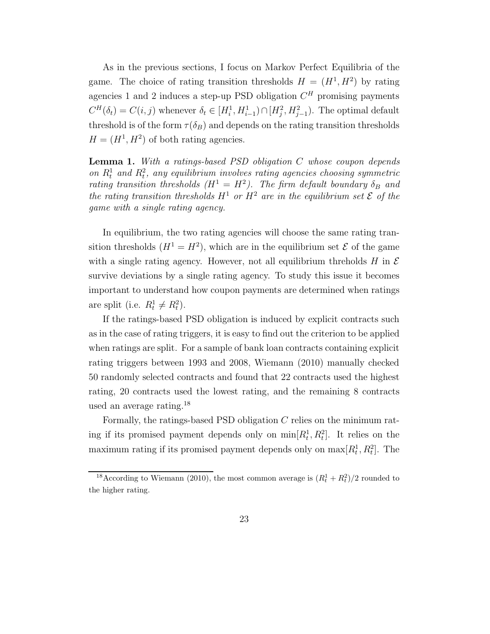As in the previous sections, I focus on Markov Perfect Equilibria of the game. The choice of rating transition thresholds  $H = (H^1, H^2)$  by rating agencies 1 and 2 induces a step-up PSD obligation  $C<sup>H</sup>$  promising payments  $C^H(\delta_t) = C(i, j)$  whenever  $\delta_t \in [H_i^1, H_{i-1}^1) \cap [H_j^2, H_{j-1}^2)$ . The optimal default threshold is of the form  $\tau(\delta_B)$  and depends on the rating transition thresholds  $H = (H<sup>1</sup>, H<sup>2</sup>)$  of both rating agencies.

**Lemma 1.** With a ratings-based PSD obligation  $C$  whose coupon depends on  $R_t^1$  and  $R_t^2$ , any equilibrium involves rating agencies choosing symmetric rating transition thresholds  $(H^1 = H^2)$ . The firm default boundary  $\delta_B$  and the rating transition thresholds  $H^1$  or  $H^2$  are in the equilibrium set  $\mathcal E$  of the game with a single rating agency.

In equilibrium, the two rating agencies will choose the same rating transition thresholds  $(H^1 = H^2)$ , which are in the equilibrium set  $\mathcal E$  of the game with a single rating agency. However, not all equilibrium threholds H in  $\mathcal E$ survive deviations by a single rating agency. To study this issue it becomes important to understand how coupon payments are determined when ratings are split (i.e.  $R_t^1 \neq R_t^2$ ).

If the ratings-based PSD obligation is induced by explicit contracts such as in the case of rating triggers, it is easy to find out the criterion to be applied when ratings are split. For a sample of bank loan contracts containing explicit rating triggers between 1993 and 2008, Wiemann (2010) manually checked 50 randomly selected contracts and found that 22 contracts used the highest rating, 20 contracts used the lowest rating, and the remaining 8 contracts used an average rating.<sup>18</sup>

Formally, the ratings-based PSD obligation  $C$  relies on the minimum rating if its promised payment depends only on  $\min[R_t^1, R_t^2]$ . It relies on the maximum rating if its promised payment depends only on  $\max[R_t^1, R_t^2]$ . The

<sup>&</sup>lt;sup>18</sup> According to Wiemann (2010), the most common average is  $(R_t^1 + R_t^2)/2$  rounded to the higher rating.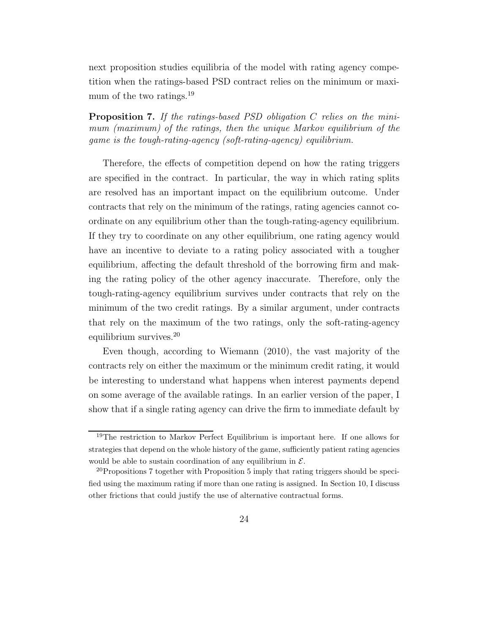next proposition studies equilibria of the model with rating agency competition when the ratings-based PSD contract relies on the minimum or maximum of the two ratings.<sup>19</sup>

Proposition 7. If the ratings-based PSD obligation C relies on the minimum (maximum) of the ratings, then the unique Markov equilibrium of the game is the tough-rating-agency (soft-rating-agency) equilibrium.

Therefore, the effects of competition depend on how the rating triggers are specified in the contract. In particular, the way in which rating splits are resolved has an important impact on the equilibrium outcome. Under contracts that rely on the minimum of the ratings, rating agencies cannot coordinate on any equilibrium other than the tough-rating-agency equilibrium. If they try to coordinate on any other equilibrium, one rating agency would have an incentive to deviate to a rating policy associated with a tougher equilibrium, affecting the default threshold of the borrowing firm and making the rating policy of the other agency inaccurate. Therefore, only the tough-rating-agency equilibrium survives under contracts that rely on the minimum of the two credit ratings. By a similar argument, under contracts that rely on the maximum of the two ratings, only the soft-rating-agency equilibrium survives.<sup>20</sup>

Even though, according to Wiemann (2010), the vast majority of the contracts rely on either the maximum or the minimum credit rating, it would be interesting to understand what happens when interest payments depend on some average of the available ratings. In an earlier version of the paper, I show that if a single rating agency can drive the firm to immediate default by

<sup>19</sup>The restriction to Markov Perfect Equilibrium is important here. If one allows for strategies that depend on the whole history of the game, sufficiently patient rating agencies would be able to sustain coordination of any equilibrium in  $\mathcal{E}$ .

<sup>&</sup>lt;sup>20</sup>Propositions 7 together with Proposition 5 imply that rating triggers should be specified using the maximum rating if more than one rating is assigned. In Section 10, I discuss other frictions that could justify the use of alternative contractual forms.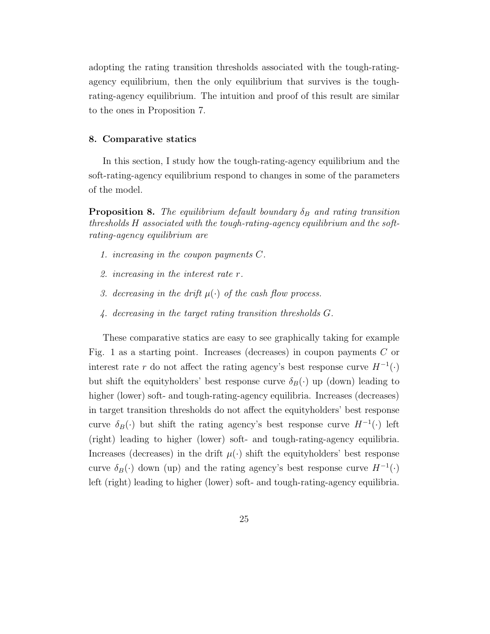adopting the rating transition thresholds associated with the tough-ratingagency equilibrium, then the only equilibrium that survives is the toughrating-agency equilibrium. The intuition and proof of this result are similar to the ones in Proposition 7.

#### 8. Comparative statics

In this section, I study how the tough-rating-agency equilibrium and the soft-rating-agency equilibrium respond to changes in some of the parameters of the model.

**Proposition 8.** The equilibrium default boundary  $\delta_B$  and rating transition thresholds H associated with the tough-rating-agency equilibrium and the softrating-agency equilibrium are

- 1. increasing in the coupon payments C.
- 2. increasing in the interest rate r.
- 3. decreasing in the drift  $\mu(\cdot)$  of the cash flow process.
- 4. decreasing in the target rating transition thresholds G.

These comparative statics are easy to see graphically taking for example Fig. 1 as a starting point. Increases (decreases) in coupon payments  $C$  or interest rate r do not affect the rating agency's best response curve  $H^{-1}(\cdot)$ but shift the equityholders' best response curve  $\delta_B(\cdot)$  up (down) leading to higher (lower) soft- and tough-rating-agency equilibria. Increases (decreases) in target transition thresholds do not affect the equityholders' best response curve  $\delta_B(\cdot)$  but shift the rating agency's best response curve  $H^{-1}(\cdot)$  left (right) leading to higher (lower) soft- and tough-rating-agency equilibria. Increases (decreases) in the drift  $\mu(\cdot)$  shift the equityholders' best response curve  $\delta_B(\cdot)$  down (up) and the rating agency's best response curve  $H^{-1}(\cdot)$ left (right) leading to higher (lower) soft- and tough-rating-agency equilibria.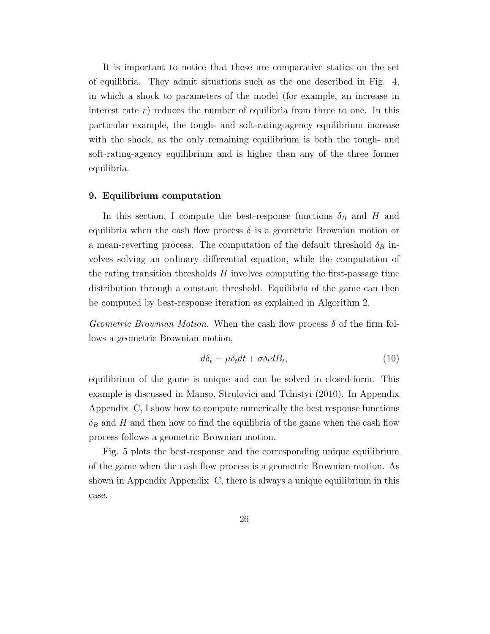It is important to notice that these are comparative statics on the set of equilibria. They admit situations such as the one described in Fig. 4, in which a shock to parameters of the model (for example, an increase in interest rate  $r$ ) reduces the number of equilibria from three to one. In this particular example, the tough- and soft-rating-agency equilibrium increase with the shock, as the only remaining equilibrium is both the tough- and soft-rating-agency equilibrium and is higher than any of the three former equilibria.

#### 9. Equilibrium computation

In this section, I compute the best-response functions  $\delta_B$  and H and equilibria when the cash flow process  $\delta$  is a geometric Brownian motion or a mean-reverting process. The computation of the default threshold  $\delta_B$  involves solving an ordinary differential equation, while the computation of the rating transition thresholds  $H$  involves computing the first-passage time distribution through a constant threshold. Equilibria of the game can then be computed by best-response iteration as explained in Algorithm 2.

Geometric Brownian Motion. When the cash flow process  $\delta$  of the firm follows a geometric Brownian motion,

$$
d\delta_t = \mu \delta_t dt + \sigma \delta_t dB_t, \qquad (10)
$$

equilibrium of the game is unique and can be solved in closed-form. This example is discussed in Manso, Strulovici and Tchistyi (2010). In Appendix Appendix C, I show how to compute numerically the best response functions  $\delta_B$  and H and then how to find the equilibria of the game when the cash flow process follows a geometric Brownian motion.

Fig. 5 plots the best-response and the corresponding unique equilibrium of the game when the cash flow process is a geometric Brownian motion. As shown in Appendix Appendix C, there is always a unique equilibrium in this case.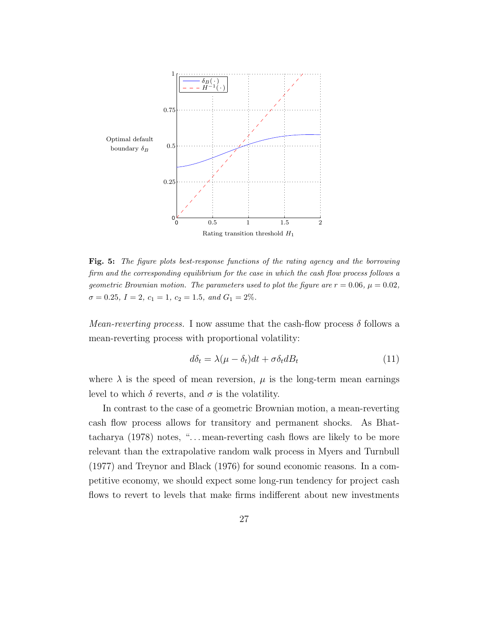

Fig. 5: The figure plots best-response functions of the rating agency and the borrowing firm and the corresponding equilibrium for the case in which the cash flow process follows a geometric Brownian motion. The parameters used to plot the figure are  $r = 0.06$ ,  $\mu = 0.02$ ,  $\sigma = 0.25, I = 2, c_1 = 1, c_2 = 1.5, and G_1 = 2\%.$ 

*Mean-reverting process.* I now assume that the cash-flow process  $\delta$  follows a mean-reverting process with proportional volatility:

$$
d\delta_t = \lambda(\mu - \delta_t)dt + \sigma \delta_t dB_t \tag{11}
$$

where  $\lambda$  is the speed of mean reversion,  $\mu$  is the long-term mean earnings level to which  $\delta$  reverts, and  $\sigma$  is the volatility.

In contrast to the case of a geometric Brownian motion, a mean-reverting cash flow process allows for transitory and permanent shocks. As Bhattacharya (1978) notes, ". . . mean-reverting cash flows are likely to be more relevant than the extrapolative random walk process in Myers and Turnbull (1977) and Treynor and Black (1976) for sound economic reasons. In a competitive economy, we should expect some long-run tendency for project cash flows to revert to levels that make firms indifferent about new investments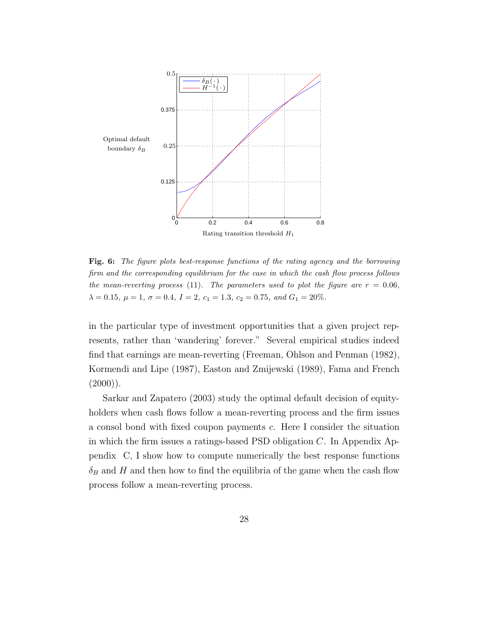

Fig. 6: The figure plots best-response functions of the rating agency and the borrowing firm and the corresponding equilibrium for the case in which the cash flow process follows the mean-reverting process (11). The parameters used to plot the figure are  $r = 0.06$ ,  $\lambda = 0.15, \mu = 1, \sigma = 0.4, I = 2, c_1 = 1.3, c_2 = 0.75, and G_1 = 20\%.$ 

in the particular type of investment opportunities that a given project represents, rather than 'wandering' forever." Several empirical studies indeed find that earnings are mean-reverting (Freeman, Ohlson and Penman (1982), Kormendi and Lipe (1987), Easton and Zmijewski (1989), Fama and French  $(2000)$ ).

Sarkar and Zapatero (2003) study the optimal default decision of equityholders when cash flows follow a mean-reverting process and the firm issues a consol bond with fixed coupon payments c. Here I consider the situation in which the firm issues a ratings-based PSD obligation C. In Appendix Appendix C, I show how to compute numerically the best response functions  $\delta_B$  and H and then how to find the equilibria of the game when the cash flow process follow a mean-reverting process.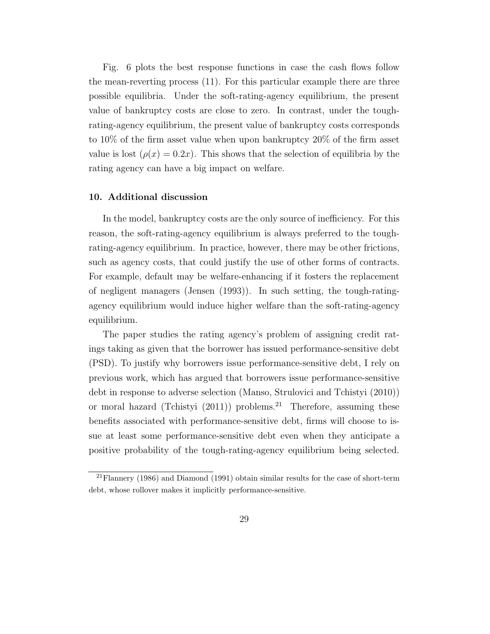Fig. 6 plots the best response functions in case the cash flows follow the mean-reverting process (11). For this particular example there are three possible equilibria. Under the soft-rating-agency equilibrium, the present value of bankruptcy costs are close to zero. In contrast, under the toughrating-agency equilibrium, the present value of bankruptcy costs corresponds to 10% of the firm asset value when upon bankruptcy 20% of the firm asset value is lost  $(\rho(x) = 0.2x)$ . This shows that the selection of equilibria by the rating agency can have a big impact on welfare.

#### 10. Additional discussion

In the model, bankruptcy costs are the only source of inefficiency. For this reason, the soft-rating-agency equilibrium is always preferred to the toughrating-agency equilibrium. In practice, however, there may be other frictions, such as agency costs, that could justify the use of other forms of contracts. For example, default may be welfare-enhancing if it fosters the replacement of negligent managers (Jensen (1993)). In such setting, the tough-ratingagency equilibrium would induce higher welfare than the soft-rating-agency equilibrium.

The paper studies the rating agency's problem of assigning credit ratings taking as given that the borrower has issued performance-sensitive debt (PSD). To justify why borrowers issue performance-sensitive debt, I rely on previous work, which has argued that borrowers issue performance-sensitive debt in response to adverse selection (Manso, Strulovici and Tchistyi (2010)) or moral hazard (Tchistyi  $(2011)$ ) problems.<sup>21</sup> Therefore, assuming these benefits associated with performance-sensitive debt, firms will choose to issue at least some performance-sensitive debt even when they anticipate a positive probability of the tough-rating-agency equilibrium being selected.

<sup>&</sup>lt;sup>21</sup>Flannery (1986) and Diamond (1991) obtain similar results for the case of short-term debt, whose rollover makes it implicitly performance-sensitive.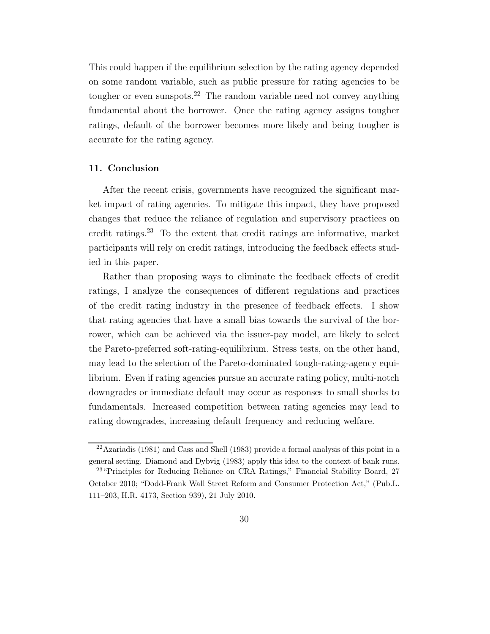This could happen if the equilibrium selection by the rating agency depended on some random variable, such as public pressure for rating agencies to be tougher or even sunspots.<sup>22</sup> The random variable need not convey anything fundamental about the borrower. Once the rating agency assigns tougher ratings, default of the borrower becomes more likely and being tougher is accurate for the rating agency.

# 11. Conclusion

After the recent crisis, governments have recognized the significant market impact of rating agencies. To mitigate this impact, they have proposed changes that reduce the reliance of regulation and supervisory practices on credit ratings.<sup>23</sup> To the extent that credit ratings are informative, market participants will rely on credit ratings, introducing the feedback effects studied in this paper.

Rather than proposing ways to eliminate the feedback effects of credit ratings, I analyze the consequences of different regulations and practices of the credit rating industry in the presence of feedback effects. I show that rating agencies that have a small bias towards the survival of the borrower, which can be achieved via the issuer-pay model, are likely to select the Pareto-preferred soft-rating-equilibrium. Stress tests, on the other hand, may lead to the selection of the Pareto-dominated tough-rating-agency equilibrium. Even if rating agencies pursue an accurate rating policy, multi-notch downgrades or immediate default may occur as responses to small shocks to fundamentals. Increased competition between rating agencies may lead to rating downgrades, increasing default frequency and reducing welfare.

 $22$ Azariadis (1981) and Cass and Shell (1983) provide a formal analysis of this point in a general setting. Diamond and Dybvig (1983) apply this idea to the context of bank runs.

<sup>&</sup>lt;sup>23</sup> "Principles for Reducing Reliance on CRA Ratings," Financial Stability Board, 27 October 2010; "Dodd-Frank Wall Street Reform and Consumer Protection Act," (Pub.L. 111–203, H.R. 4173, Section 939), 21 July 2010.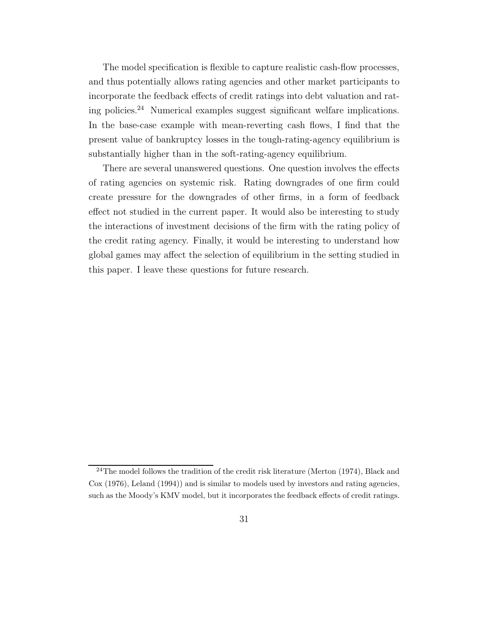The model specification is flexible to capture realistic cash-flow processes, and thus potentially allows rating agencies and other market participants to incorporate the feedback effects of credit ratings into debt valuation and rating policies.<sup>24</sup> Numerical examples suggest significant welfare implications. In the base-case example with mean-reverting cash flows, I find that the present value of bankruptcy losses in the tough-rating-agency equilibrium is substantially higher than in the soft-rating-agency equilibrium.

There are several unanswered questions. One question involves the effects of rating agencies on systemic risk. Rating downgrades of one firm could create pressure for the downgrades of other firms, in a form of feedback effect not studied in the current paper. It would also be interesting to study the interactions of investment decisions of the firm with the rating policy of the credit rating agency. Finally, it would be interesting to understand how global games may affect the selection of equilibrium in the setting studied in this paper. I leave these questions for future research.

 $24$ The model follows the tradition of the credit risk literature (Merton (1974), Black and Cox (1976), Leland (1994)) and is similar to models used by investors and rating agencies, such as the Moody's KMV model, but it incorporates the feedback effects of credit ratings.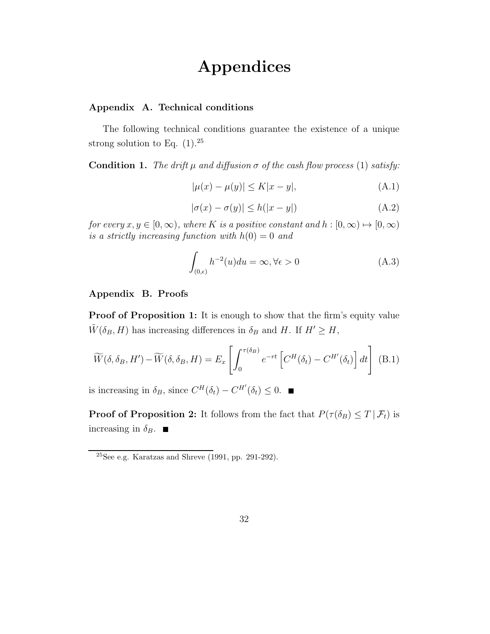# Appendices

# Appendix A. Technical conditions

The following technical conditions guarantee the existence of a unique strong solution to Eq.  $(1).^{25}$ 

**Condition 1.** The drift  $\mu$  and diffusion  $\sigma$  of the cash flow process (1) satisfy:

$$
|\mu(x) - \mu(y)| \le K|x - y|,
$$
 (A.1)

$$
|\sigma(x) - \sigma(y)| \le h(|x - y|)
$$
 (A.2)

for every  $x, y \in [0, \infty)$ , where K is a positive constant and  $h : [0, \infty) \mapsto [0, \infty)$ is a strictly increasing function with  $h(0) = 0$  and

$$
\int_{(0,\epsilon)} h^{-2}(u) du = \infty, \forall \epsilon > 0
$$
\n(A.3)

# Appendix B. Proofs

**Proof of Proposition 1:** It is enough to show that the firm's equity value  $\tilde{W}(\delta_B, H)$  has increasing differences in  $\delta_B$  and H. If  $H' \geq H$ ,

$$
\widetilde{W}(\delta, \delta_B, H') - \widetilde{W}(\delta, \delta_B, H) = E_x \left[ \int_0^{\tau(\delta_B)} e^{-rt} \left[ C^H(\delta_t) - C^{H'}(\delta_t) \right] dt \right]
$$
 (B.1)

is increasing in  $\delta_B$ , since  $C^H(\delta_t) - C^{H'}(\delta_t) \leq 0$ .

**Proof of Proposition 2:** It follows from the fact that  $P(\tau(\delta_B) \leq T | \mathcal{F}_t)$  is increasing in  $\delta_B$ .  $\blacksquare$ 

 $25$ See e.g. Karatzas and Shreve (1991, pp. 291-292).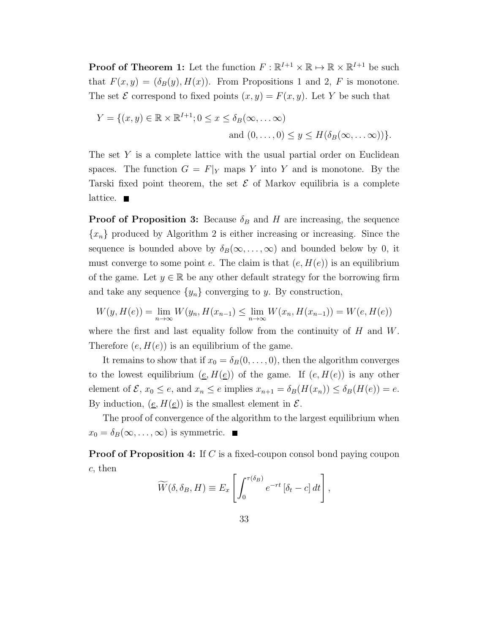**Proof of Theorem 1:** Let the function  $F : \mathbb{R}^{I+1} \times \mathbb{R} \to \mathbb{R} \times \mathbb{R}^{I+1}$  be such that  $F(x, y) = (\delta_B(y), H(x))$ . From Propositions 1 and 2, F is monotone. The set  $\mathcal E$  correspond to fixed points  $(x, y) = F(x, y)$ . Let Y be such that

$$
Y = \{(x, y) \in \mathbb{R} \times \mathbb{R}^{I+1}; 0 \le x \le \delta_B(\infty, \dots \infty)
$$
  
and  $(0, \dots, 0) \le y \le H(\delta_B(\infty, \dots \infty))\}.$ 

The set Y is a complete lattice with the usual partial order on Euclidean spaces. The function  $G = F|_Y$  maps Y into Y and is monotone. By the Tarski fixed point theorem, the set  $\mathcal E$  of Markov equilibria is a complete lattice.  $\blacksquare$ 

**Proof of Proposition 3:** Because  $\delta_B$  and H are increasing, the sequence  ${x_n}$  produced by Algorithm 2 is either increasing or increasing. Since the sequence is bounded above by  $\delta_B(\infty,\ldots,\infty)$  and bounded below by 0, it must converge to some point e. The claim is that  $(e, H(e))$  is an equilibrium of the game. Let  $y \in \mathbb{R}$  be any other default strategy for the borrowing firm and take any sequence  $\{y_n\}$  converging to y. By construction,

$$
W(y, H(e)) = \lim_{n \to \infty} W(y_n, H(x_{n-1}) \le \lim_{n \to \infty} W(x_n, H(x_{n-1})) = W(e, H(e))
$$

where the first and last equality follow from the continuity of  $H$  and  $W$ . Therefore  $(e, H(e))$  is an equilibrium of the game.

It remains to show that if  $x_0 = \delta_B(0, \ldots, 0)$ , then the algorithm converges to the lowest equilibrium  $(e, H(e))$  of the game. If  $(e, H(e))$  is any other element of  $\mathcal{E}, x_0 \le e$ , and  $x_n \le e$  implies  $x_{n+1} = \delta_B(H(x_n)) \le \delta_B(H(e)) = e$ . By induction,  $(\underline{e}, H(\underline{e}))$  is the smallest element in  $\mathcal{E}$ .

The proof of convergence of the algorithm to the largest equilibrium when  $x_0 = \delta_B(\infty, \ldots, \infty)$  is symmetric.

**Proof of Proposition 4:** If C is a fixed-coupon consol bond paying coupon c, then

$$
\widetilde{W}(\delta, \delta_B, H) \equiv E_x \left[ \int_0^{\tau(\delta_B)} e^{-rt} \left[ \delta_t - c \right] dt \right],
$$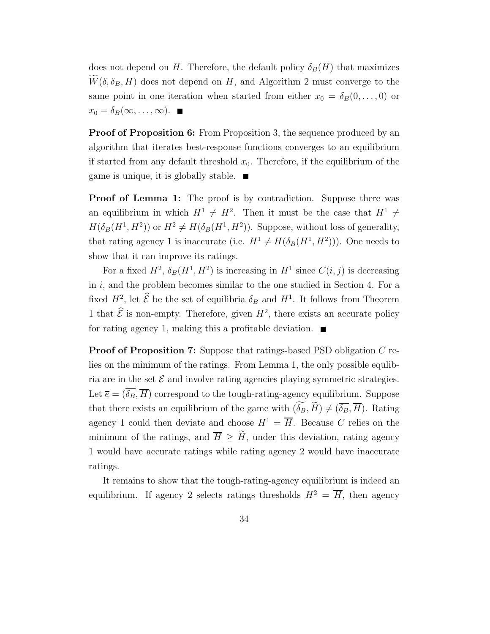does not depend on H. Therefore, the default policy  $\delta_B(H)$  that maximizes  $\widetilde{W}(\delta, \delta_B, H)$  does not depend on H, and Algorithm 2 must converge to the same point in one iteration when started from either  $x_0 = \delta_B(0, \ldots, 0)$  or  $x_0 = \delta_B(\infty, \ldots, \infty)$ .

**Proof of Proposition 6:** From Proposition 3, the sequence produced by an algorithm that iterates best-response functions converges to an equilibrium if started from any default threshold  $x_0$ . Therefore, if the equilibrium of the game is unique, it is globally stable.  $\blacksquare$ 

**Proof of Lemma 1:** The proof is by contradiction. Suppose there was an equilibrium in which  $H^1 \neq H^2$ . Then it must be the case that  $H^1 \neq$  $H(\delta_B(H^1, H^2))$  or  $H^2 \neq H(\delta_B(H^1, H^2))$ . Suppose, without loss of generality, that rating agency 1 is inaccurate (i.e.  $H^1 \neq H(\delta_B(H^1, H^2))$ ). One needs to show that it can improve its ratings.

For a fixed  $H^2$ ,  $\delta_B(H^1, H^2)$  is increasing in  $H^1$  since  $C(i, j)$  is decreasing in  $i$ , and the problem becomes similar to the one studied in Section 4. For a fixed  $H^2$ , let  $\mathcal{E}$  be the set of equilibria  $\delta_B$  and  $H^1$ . It follows from Theorem 1 that  $\hat{\mathcal{E}}$  is non-empty. Therefore, given  $H^2$ , there exists an accurate policy for rating agency 1, making this a profitable deviation.  $\blacksquare$ 

Proof of Proposition 7: Suppose that ratings-based PSD obligation C relies on the minimum of the ratings. From Lemma 1, the only possible equlibria are in the set  $\mathcal E$  and involve rating agencies playing symmetric strategies. Let  $\overline{e} = (\overline{\delta_B}, \overline{H})$  correspond to the tough-rating-agency equilibrium. Suppose that there exists an equilibrium of the game with  $(\widetilde{\delta_B}, \widetilde{H}) \neq (\overline{\delta_B}, \overline{H})$ . Rating agency 1 could then deviate and choose  $H^1 = \overline{H}$ . Because C relies on the minimum of the ratings, and  $\overline{H} \geq \tilde{H}$ , under this deviation, rating agency 1 would have accurate ratings while rating agency 2 would have inaccurate ratings.

It remains to show that the tough-rating-agency equilibrium is indeed an equilibrium. If agency 2 selects ratings thresholds  $H^2 = \overline{H}$ , then agency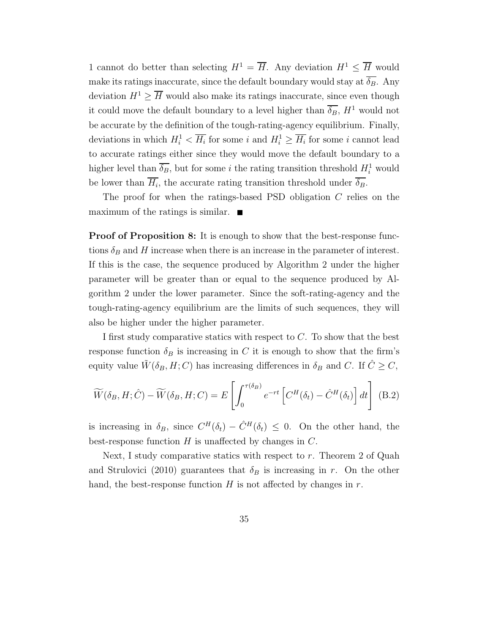1 cannot do better than selecting  $H^1 = \overline{H}$ . Any deviation  $H^1 \leq \overline{H}$  would make its ratings inaccurate, since the default boundary would stay at  $\overline{\delta_B}$ . Any deviation  $H^1 \geq \overline{H}$  would also make its ratings inaccurate, since even though it could move the default boundary to a level higher than  $\overline{\delta_B}$ ,  $H^1$  would not be accurate by the definition of the tough-rating-agency equilibrium. Finally, deviations in which  $H_i^1 < \overline{H_i}$  for some i and  $H_i^1 \geq \overline{H_i}$  for some i cannot lead to accurate ratings either since they would move the default boundary to a higher level than  $\overline{\delta_B}$ , but for some *i* the rating transition threshold  $H_i^1$  would be lower than  $H_i$ , the accurate rating transition threshold under  $\delta_B$ .

The proof for when the ratings-based PSD obligation C relies on the maximum of the ratings is similar.  $\blacksquare$ 

Proof of Proposition 8: It is enough to show that the best-response functions  $\delta_B$  and H increase when there is an increase in the parameter of interest. If this is the case, the sequence produced by Algorithm 2 under the higher parameter will be greater than or equal to the sequence produced by Algorithm 2 under the lower parameter. Since the soft-rating-agency and the tough-rating-agency equilibrium are the limits of such sequences, they will also be higher under the higher parameter.

I first study comparative statics with respect to C. To show that the best response function  $\delta_B$  is increasing in C it is enough to show that the firm's equity value  $\tilde{W}(\delta_B, H; C)$  has increasing differences in  $\delta_B$  and C. If  $\tilde{C} \geq C$ ,

$$
\widetilde{W}(\delta_B, H; \hat{C}) - \widetilde{W}(\delta_B, H; C) = E\left[\int_0^{\tau(\delta_B)} e^{-rt} \left[C^H(\delta_t) - \hat{C}^H(\delta_t)\right] dt\right]
$$
(B.2)

is increasing in  $\delta_B$ , since  $C^H(\delta_t) - \hat{C}^H(\delta_t) \leq 0$ . On the other hand, the best-response function  $H$  is unaffected by changes in  $C$ .

Next, I study comparative statics with respect to  $r$ . Theorem 2 of Quah and Strulovici (2010) guarantees that  $\delta_B$  is increasing in r. On the other hand, the best-response function  $H$  is not affected by changes in  $r$ .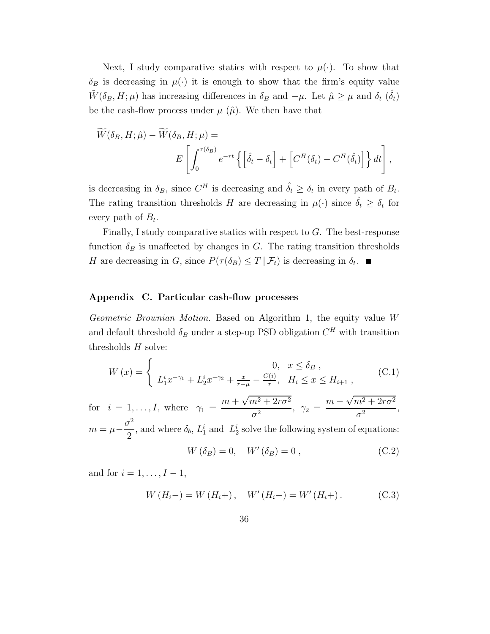Next, I study comparative statics with respect to  $\mu(\cdot)$ . To show that  $\delta_B$  is decreasing in  $\mu(\cdot)$  it is enough to show that the firm's equity value  $\tilde{W}(\delta_B, H; \mu)$  has increasing differences in  $\delta_B$  and  $-\mu$ . Let  $\hat{\mu} \ge \mu$  and  $\delta_t$   $(\hat{\delta}_t)$ be the cash-flow process under  $\mu$  ( $\hat{\mu}$ ). We then have that

$$
\widetilde{W}(\delta_B, H; \hat{\mu}) - \widetilde{W}(\delta_B, H; \mu) =
$$
\n
$$
E\left[\int_0^{\tau(\delta_B)} e^{-rt} \left\{ \left[\hat{\delta}_t - \delta_t \right] + \left[C^H(\delta_t) - C^H(\hat{\delta}_t)\right] \right\} dt \right],
$$

is decreasing in  $\delta_B$ , since  $C^H$  is decreasing and  $\hat{\delta}_t \geq \delta_t$  in every path of  $B_t$ . The rating transition thresholds H are decreasing in  $\mu(\cdot)$  since  $\hat{\delta}_t \geq \delta_t$  for every path of  $B_t$ .

Finally, I study comparative statics with respect to  $G$ . The best-response function  $\delta_B$  is unaffected by changes in G. The rating transition thresholds H are decreasing in G, since  $P(\tau(\delta_B) \leq T | \mathcal{F}_t)$  is decreasing in  $\delta_t$ .

# Appendix C. Particular cash-flow processes

Geometric Brownian Motion. Based on Algorithm 1, the equity value W and default threshold  $\delta_B$  under a step-up PSD obligation  $C^H$  with transition thresholds  $H$  solve:

$$
W(x) = \begin{cases} 0, & x \le \delta_B, \\ L_1^i x^{-\gamma_1} + L_2^i x^{-\gamma_2} + \frac{x}{r - \mu} - \frac{C(i)}{r}, & H_i \le x \le H_{i+1}, \end{cases}
$$
 (C.1)

for  $i = 1, \ldots, I$ , where  $\gamma_1 =$  $m + \sqrt{m^2 + 2r\sigma^2}$  $\frac{m^2+2r\sigma^2}{\sigma^2}, \ \ \gamma_2\,=\,\frac{m-\sqrt{m^2+2r\sigma^2}}{\sigma^2}$  $\frac{\frac{1}{\sigma^2}}{\sigma^2},$  $m = \mu \sigma^2$  $\frac{1}{2}$ , and where  $\delta_b$ ,  $L_1^i$  and  $L_2^i$  solve the following system of equations:

$$
W\left(\delta_B\right) = 0, \quad W'\left(\delta_B\right) = 0 \tag{C.2}
$$

and for  $i = 1, \ldots, I - 1$ ,

$$
W(H_i-) = W(H_i+) , \quad W'(H_i-) = W'(H_i+).
$$
 (C.3)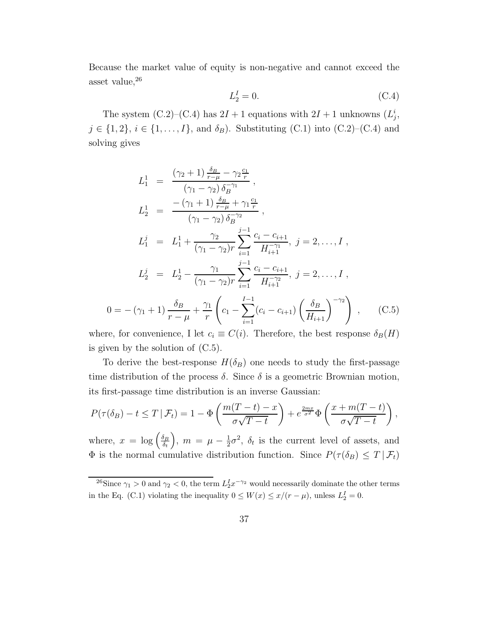Because the market value of equity is non-negative and cannot exceed the asset value,  $26$ 

$$
L_2^I = 0.\t\t(C.4)
$$

The system  $(C.2)$ – $(C.4)$  has  $2I + 1$  equations with  $2I + 1$  unknowns  $(L_j^i)$ ,  $j \in \{1, 2\}, i \in \{1, ..., I\},\$ and  $\delta_B$ ). Substituting (C.1) into (C.2)–(C.4) and solving gives

$$
L_1^1 = \frac{(\gamma_2 + 1) \frac{\delta_B}{r - \mu} - \gamma_2 \frac{c_1}{r}}{(\gamma_1 - \gamma_2) \delta_B^{-\gamma_1}},
$$
  
\n
$$
L_2^1 = \frac{-(\gamma_1 + 1) \frac{\delta_B}{r - \mu} + \gamma_1 \frac{c_1}{r}}{(\gamma_1 - \gamma_2) \delta_B^{-\gamma_2}},
$$
  
\n
$$
L_1^j = L_1^1 + \frac{\gamma_2}{(\gamma_1 - \gamma_2)r} \sum_{i=1}^{j-1} \frac{c_i - c_{i+1}}{H_{i+1}^{-\gamma_1}}, j = 2, ..., I,
$$
  
\n
$$
L_2^j = L_2^1 - \frac{\gamma_1}{(\gamma_1 - \gamma_2)r} \sum_{i=1}^{j-1} \frac{c_i - c_{i+1}}{H_{i+1}^{-\gamma_2}}, j = 2, ..., I,
$$
  
\n
$$
0 = -(\gamma_1 + 1) \frac{\delta_B}{r - \mu} + \frac{\gamma_1}{r} \left(c_1 - \sum_{i=1}^{I-1} (c_i - c_{i+1}) \left(\frac{\delta_B}{H_{i+1}}\right)^{-\gamma_2}\right), \quad (C.5)
$$

where, for convenience, I let  $c_i \equiv C(i)$ . Therefore, the best response  $\delta_B(H)$ is given by the solution of (C.5).

To derive the best-response  $H(\delta_B)$  one needs to study the first-passage time distribution of the process  $\delta$ . Since  $\delta$  is a geometric Brownian motion, its first-passage time distribution is an inverse Gaussian:

$$
P(\tau(\delta_B) - t \le T | \mathcal{F}_t) = 1 - \Phi\left(\frac{m(T-t) - x}{\sigma\sqrt{T-t}}\right) + e^{\frac{2mx}{\sigma^2}} \Phi\left(\frac{x + m(T-t)}{\sigma\sqrt{T-t}}\right),
$$

where,  $x = \log \left( \frac{\delta_B}{\delta_t} \right)$  $\delta_t$  $\Big), m = \mu - \frac{1}{2}$  $\frac{1}{2}\sigma^2$ ,  $\delta_t$  is the current level of assets, and  $\Phi$  is the normal cumulative distribution function. Since  $P(\tau(\delta_B) \leq T | \mathcal{F}_t)$ 

<sup>&</sup>lt;sup>26</sup>Since  $\gamma_1 > 0$  and  $\gamma_2 < 0$ , the term  $L_2^I x^{-\gamma_2}$  would necessarily dominate the other terms in the Eq. (C.1) violating the inequality  $0 \leq W(x) \leq x/(r - \mu)$ , unless  $L_2^I = 0$ .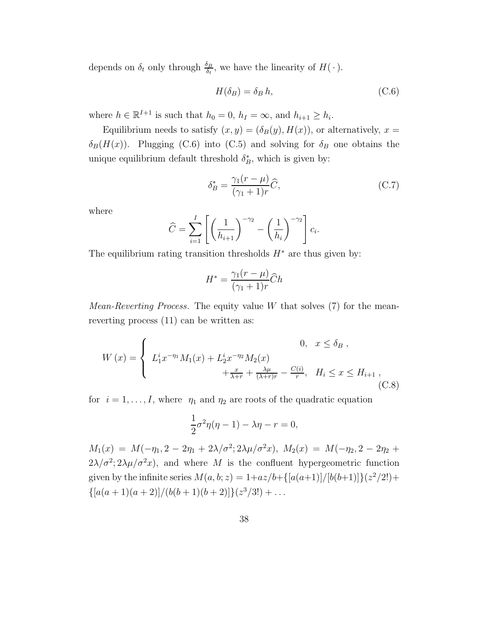depends on  $\delta_t$  only through  $\frac{\delta_B}{\delta_t}$ , we have the linearity of  $H(\cdot)$ .

$$
H(\delta_B) = \delta_B h,\tag{C.6}
$$

where  $h \in \mathbb{R}^{I+1}$  is such that  $h_0 = 0$ ,  $h_I = \infty$ , and  $h_{i+1} \ge h_i$ .

Equilibrium needs to satisfy  $(x, y) = (\delta_B(y), H(x))$ , or alternatively,  $x =$  $\delta_B(H(x))$ . Plugging (C.6) into (C.5) and solving for  $\delta_B$  one obtains the unique equilibrium default threshold  $\delta_B^*$ , which is given by:

$$
\delta_B^* = \frac{\gamma_1 (r - \mu)}{(\gamma_1 + 1)r} \widehat{C},\tag{C.7}
$$

where

$$
\widehat{C} = \sum_{i=1}^{I} \left[ \left( \frac{1}{h_{i+1}} \right)^{-\gamma_2} - \left( \frac{1}{h_i} \right)^{-\gamma_2} \right] c_i.
$$

The equilibrium rating transition thresholds  $H^*$  are thus given by:

$$
H^* = \frac{\gamma_1(r-\mu)}{(\gamma_1+1)r}\widehat{C}h
$$

*Mean-Reverting Process.* The equity value W that solves  $(7)$  for the meanreverting process (11) can be written as:

$$
W(x) = \begin{cases} 0, & x \le \delta_B, \\ L_1^i x^{-\eta_1} M_1(x) + L_2^i x^{-\eta_2} M_2(x) \\ + \frac{x}{\lambda + r} + \frac{\lambda \mu}{(\lambda + r)r} - \frac{C(i)}{r}, & H_i \le x \le H_{i+1}, \end{cases}
$$
(C.8)

for  $i = 1, \ldots, I$ , where  $\eta_1$  and  $\eta_2$  are roots of the quadratic equation

$$
\frac{1}{2}\sigma^2\eta(\eta-1) - \lambda\eta - r = 0,
$$

 $M_1(x) = M(-\eta_1, 2 - 2\eta_1 + 2\lambda/\sigma^2; 2\lambda\mu/\sigma^2 x), M_2(x) = M(-\eta_2, 2 - 2\eta_2 +$  $2\lambda/\sigma^2$ ;  $2\lambda\mu/\sigma^2x$ , and where M is the confluent hypergeometric function given by the infinite series  $M(a, b; z) = 1 + az/b + \{[a(a+1)]/[b(b+1)]\}(z^2/2!) +$  $\{[a(a+1)(a+2)]/(b(b+1)(b+2)]\}(z^3/3!) + \dots$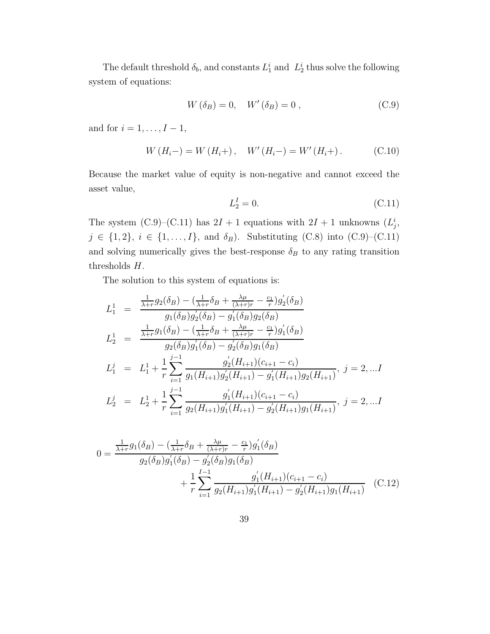The default threshold  $\delta_b$ , and constants  $L_1^i$  and  $L_2^i$  thus solve the following system of equations:

$$
W\left(\delta_B\right) = 0, \quad W'\left(\delta_B\right) = 0 \tag{C.9}
$$

and for  $i = 1, \ldots, I-1$ ,

$$
W(H_i-) = W(H_i+), \quad W'(H_i-) = W'(H_i+).
$$
 (C.10)

Because the market value of equity is non-negative and cannot exceed the asset value,

$$
L_2^I = 0.\t\t(C.11)
$$

The system (C.9)–(C.11) has  $2I + 1$  equations with  $2I + 1$  unknowns  $(L_j^i,$  $j \in \{1, 2\}, i \in \{1, \ldots, I\},\$ and  $\delta_B$ ). Substituting (C.8) into (C.9)–(C.11) and solving numerically gives the best-response  $\delta_B$  to any rating transition thresholds H.

The solution to this system of equations is:

$$
L_1^1 = \frac{\frac{1}{\lambda + r} g_2(\delta_B) - (\frac{1}{\lambda + r} \delta_B + \frac{\lambda \mu}{(\lambda + r)r} - \frac{c_1}{r}) g_2'(\delta_B)}{g_1(\delta_B) g_2'(\delta_B) - g_1'(\delta_B) g_2(\delta_B)}
$$
  
\n
$$
L_2^1 = \frac{\frac{1}{\lambda + r} g_1(\delta_B) - (\frac{1}{\lambda + r} \delta_B + \frac{\lambda \mu}{(\lambda + r)r} - \frac{c_1}{r}) g_1'(\delta_B)}{g_2(\delta_B) g_1'(\delta_B) - g_2'(\delta_B) g_1(\delta_B)}
$$
  
\n
$$
L_1^j = L_1^1 + \frac{1}{r} \sum_{i=1}^{j-1} \frac{g_2'(H_{i+1})(c_{i+1} - c_i)}{g_1(H_{i+1}) g_2(H_{i+1}) - g_1'(H_{i+1}) g_2(H_{i+1})}, \ j = 2, ... I
$$
  
\n
$$
L_2^j = L_2^1 + \frac{1}{r} \sum_{i=1}^{j-1} \frac{g_1'(H_{i+1})(c_{i+1} - c_i)}{g_2(H_{i+1}) g_1'(H_{i+1}) - g_2'(H_{i+1}) g_1(H_{i+1})}, \ j = 2, ... I
$$

$$
0 = \frac{\frac{1}{\lambda + r} g_1(\delta_B) - (\frac{1}{\lambda + r} \delta_B + \frac{\lambda \mu}{(\lambda + r)r} - \frac{c_1}{r}) g'_1(\delta_B)}{g_2(\delta_B) g'_1(\delta_B) - g'_2(\delta_B) g_1(\delta_B)} + \frac{1}{r} \sum_{i=1}^{I-1} \frac{g'_1(H_{i+1})(c_{i+1} - c_i)}{g_2(H_{i+1}) g'_1(H_{i+1}) - g'_2(H_{i+1}) g_1(H_{i+1})}
$$
(C.12)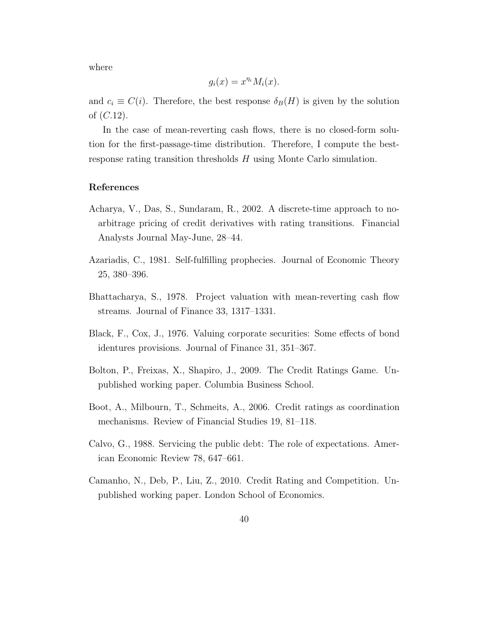where

$$
g_i(x) = x^{\eta_i} M_i(x).
$$

and  $c_i \equiv C(i)$ . Therefore, the best response  $\delta_B(H)$  is given by the solution of  $(C.12)$ .

In the case of mean-reverting cash flows, there is no closed-form solution for the first-passage-time distribution. Therefore, I compute the bestresponse rating transition thresholds H using Monte Carlo simulation.

# References

- Acharya, V., Das, S., Sundaram, R., 2002. A discrete-time approach to noarbitrage pricing of credit derivatives with rating transitions. Financial Analysts Journal May-June, 28–44.
- Azariadis, C., 1981. Self-fulfilling prophecies. Journal of Economic Theory 25, 380–396.
- Bhattacharya, S., 1978. Project valuation with mean-reverting cash flow streams. Journal of Finance 33, 1317–1331.
- Black, F., Cox, J., 1976. Valuing corporate securities: Some effects of bond identures provisions. Journal of Finance 31, 351–367.
- Bolton, P., Freixas, X., Shapiro, J., 2009. The Credit Ratings Game. Unpublished working paper. Columbia Business School.
- Boot, A., Milbourn, T., Schmeits, A., 2006. Credit ratings as coordination mechanisms. Review of Financial Studies 19, 81–118.
- Calvo, G., 1988. Servicing the public debt: The role of expectations. American Economic Review 78, 647–661.
- Camanho, N., Deb, P., Liu, Z., 2010. Credit Rating and Competition. Unpublished working paper. London School of Economics.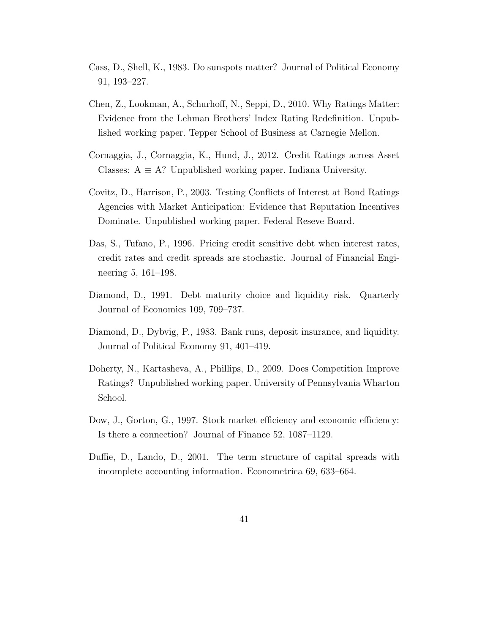- Cass, D., Shell, K., 1983. Do sunspots matter? Journal of Political Economy 91, 193–227.
- Chen, Z., Lookman, A., Schurhoff, N., Seppi, D., 2010. Why Ratings Matter: Evidence from the Lehman Brothers' Index Rating Redefinition. Unpublished working paper. Tepper School of Business at Carnegie Mellon.
- Cornaggia, J., Cornaggia, K., Hund, J., 2012. Credit Ratings across Asset Classes:  $A \equiv A$ ? Unpublished working paper. Indiana University.
- Covitz, D., Harrison, P., 2003. Testing Conflicts of Interest at Bond Ratings Agencies with Market Anticipation: Evidence that Reputation Incentives Dominate. Unpublished working paper. Federal Reseve Board.
- Das, S., Tufano, P., 1996. Pricing credit sensitive debt when interest rates, credit rates and credit spreads are stochastic. Journal of Financial Engineering 5, 161–198.
- Diamond, D., 1991. Debt maturity choice and liquidity risk. Quarterly Journal of Economics 109, 709–737.
- Diamond, D., Dybvig, P., 1983. Bank runs, deposit insurance, and liquidity. Journal of Political Economy 91, 401–419.
- Doherty, N., Kartasheva, A., Phillips, D., 2009. Does Competition Improve Ratings? Unpublished working paper. University of Pennsylvania Wharton School.
- Dow, J., Gorton, G., 1997. Stock market efficiency and economic efficiency: Is there a connection? Journal of Finance 52, 1087–1129.
- Duffie, D., Lando, D., 2001. The term structure of capital spreads with incomplete accounting information. Econometrica 69, 633–664.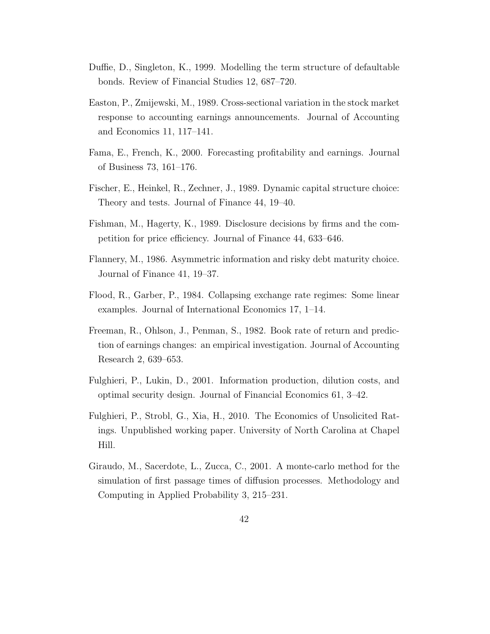- Duffie, D., Singleton, K., 1999. Modelling the term structure of defaultable bonds. Review of Financial Studies 12, 687–720.
- Easton, P., Zmijewski, M., 1989. Cross-sectional variation in the stock market response to accounting earnings announcements. Journal of Accounting and Economics 11, 117–141.
- Fama, E., French, K., 2000. Forecasting profitability and earnings. Journal of Business 73, 161–176.
- Fischer, E., Heinkel, R., Zechner, J., 1989. Dynamic capital structure choice: Theory and tests. Journal of Finance 44, 19–40.
- Fishman, M., Hagerty, K., 1989. Disclosure decisions by firms and the competition for price efficiency. Journal of Finance 44, 633–646.
- Flannery, M., 1986. Asymmetric information and risky debt maturity choice. Journal of Finance 41, 19–37.
- Flood, R., Garber, P., 1984. Collapsing exchange rate regimes: Some linear examples. Journal of International Economics 17, 1–14.
- Freeman, R., Ohlson, J., Penman, S., 1982. Book rate of return and prediction of earnings changes: an empirical investigation. Journal of Accounting Research 2, 639–653.
- Fulghieri, P., Lukin, D., 2001. Information production, dilution costs, and optimal security design. Journal of Financial Economics 61, 3–42.
- Fulghieri, P., Strobl, G., Xia, H., 2010. The Economics of Unsolicited Ratings. Unpublished working paper. University of North Carolina at Chapel Hill.
- Giraudo, M., Sacerdote, L., Zucca, C., 2001. A monte-carlo method for the simulation of first passage times of diffusion processes. Methodology and Computing in Applied Probability 3, 215–231.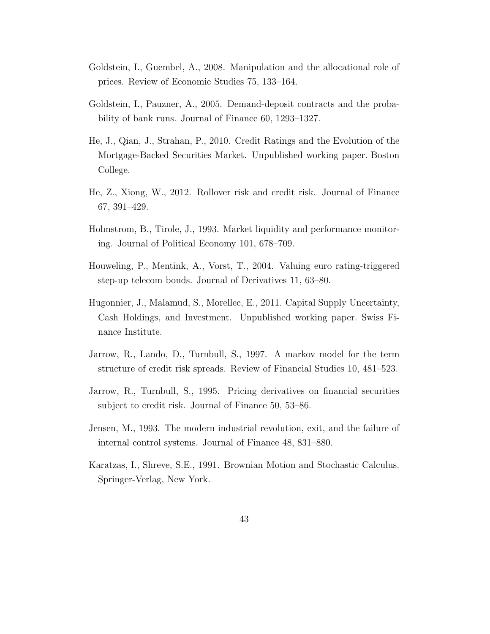- Goldstein, I., Guembel, A., 2008. Manipulation and the allocational role of prices. Review of Economic Studies 75, 133–164.
- Goldstein, I., Pauzner, A., 2005. Demand-deposit contracts and the probability of bank runs. Journal of Finance 60, 1293–1327.
- He, J., Qian, J., Strahan, P., 2010. Credit Ratings and the Evolution of the Mortgage-Backed Securities Market. Unpublished working paper. Boston College.
- He, Z., Xiong, W., 2012. Rollover risk and credit risk. Journal of Finance 67, 391–429.
- Holmstrom, B., Tirole, J., 1993. Market liquidity and performance monitoring. Journal of Political Economy 101, 678–709.
- Houweling, P., Mentink, A., Vorst, T., 2004. Valuing euro rating-triggered step-up telecom bonds. Journal of Derivatives 11, 63–80.
- Hugonnier, J., Malamud, S., Morellec, E., 2011. Capital Supply Uncertainty, Cash Holdings, and Investment. Unpublished working paper. Swiss Finance Institute.
- Jarrow, R., Lando, D., Turnbull, S., 1997. A markov model for the term structure of credit risk spreads. Review of Financial Studies 10, 481–523.
- Jarrow, R., Turnbull, S., 1995. Pricing derivatives on financial securities subject to credit risk. Journal of Finance 50, 53–86.
- Jensen, M., 1993. The modern industrial revolution, exit, and the failure of internal control systems. Journal of Finance 48, 831–880.
- Karatzas, I., Shreve, S.E., 1991. Brownian Motion and Stochastic Calculus. Springer-Verlag, New York.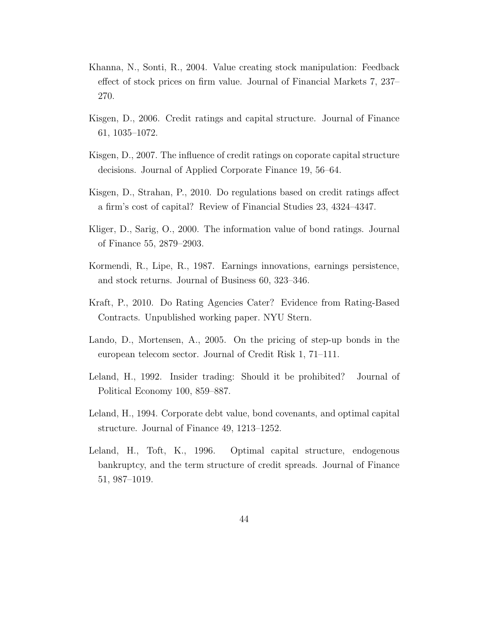- Khanna, N., Sonti, R., 2004. Value creating stock manipulation: Feedback effect of stock prices on firm value. Journal of Financial Markets 7, 237– 270.
- Kisgen, D., 2006. Credit ratings and capital structure. Journal of Finance 61, 1035–1072.
- Kisgen, D., 2007. The influence of credit ratings on coporate capital structure decisions. Journal of Applied Corporate Finance 19, 56–64.
- Kisgen, D., Strahan, P., 2010. Do regulations based on credit ratings affect a firm's cost of capital? Review of Financial Studies 23, 4324–4347.
- Kliger, D., Sarig, O., 2000. The information value of bond ratings. Journal of Finance 55, 2879–2903.
- Kormendi, R., Lipe, R., 1987. Earnings innovations, earnings persistence, and stock returns. Journal of Business 60, 323–346.
- Kraft, P., 2010. Do Rating Agencies Cater? Evidence from Rating-Based Contracts. Unpublished working paper. NYU Stern.
- Lando, D., Mortensen, A., 2005. On the pricing of step-up bonds in the european telecom sector. Journal of Credit Risk 1, 71–111.
- Leland, H., 1992. Insider trading: Should it be prohibited? Journal of Political Economy 100, 859–887.
- Leland, H., 1994. Corporate debt value, bond covenants, and optimal capital structure. Journal of Finance 49, 1213–1252.
- Leland, H., Toft, K., 1996. Optimal capital structure, endogenous bankruptcy, and the term structure of credit spreads. Journal of Finance 51, 987–1019.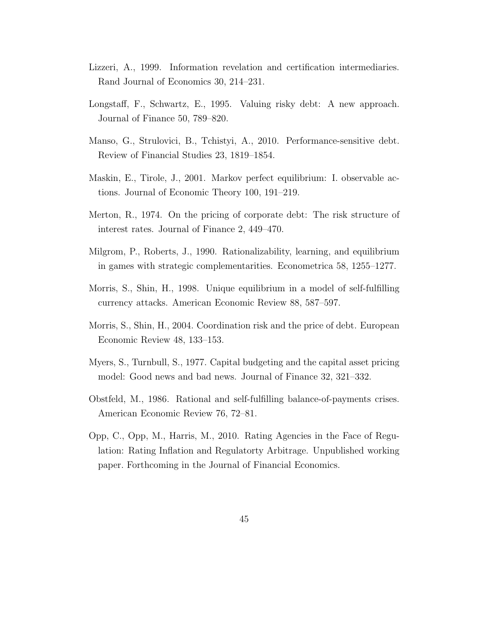- Lizzeri, A., 1999. Information revelation and certification intermediaries. Rand Journal of Economics 30, 214–231.
- Longstaff, F., Schwartz, E., 1995. Valuing risky debt: A new approach. Journal of Finance 50, 789–820.
- Manso, G., Strulovici, B., Tchistyi, A., 2010. Performance-sensitive debt. Review of Financial Studies 23, 1819–1854.
- Maskin, E., Tirole, J., 2001. Markov perfect equilibrium: I. observable actions. Journal of Economic Theory 100, 191–219.
- Merton, R., 1974. On the pricing of corporate debt: The risk structure of interest rates. Journal of Finance 2, 449–470.
- Milgrom, P., Roberts, J., 1990. Rationalizability, learning, and equilibrium in games with strategic complementarities. Econometrica 58, 1255–1277.
- Morris, S., Shin, H., 1998. Unique equilibrium in a model of self-fulfilling currency attacks. American Economic Review 88, 587–597.
- Morris, S., Shin, H., 2004. Coordination risk and the price of debt. European Economic Review 48, 133–153.
- Myers, S., Turnbull, S., 1977. Capital budgeting and the capital asset pricing model: Good news and bad news. Journal of Finance 32, 321–332.
- Obstfeld, M., 1986. Rational and self-fulfilling balance-of-payments crises. American Economic Review 76, 72–81.
- Opp, C., Opp, M., Harris, M., 2010. Rating Agencies in the Face of Regulation: Rating Inflation and Regulatorty Arbitrage. Unpublished working paper. Forthcoming in the Journal of Financial Economics.